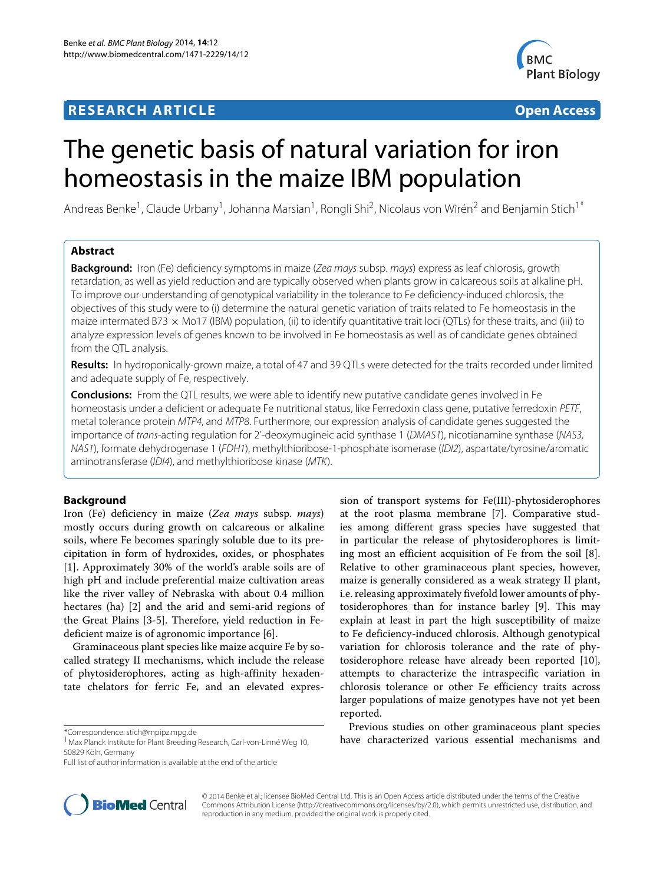## **RESEARCH ARTICLE Open Access**



# The genetic basis of natural variation for iron homeostasis in the maize IBM population

Andreas Benke<sup>1</sup>, Claude Urbany<sup>1</sup>, Johanna Marsian<sup>1</sup>, Rongli Shi<sup>2</sup>, Nicolaus von Wirén<sup>2</sup> and Benjamin Stich<sup>1\*</sup>

## **Abstract**

**Background:** Iron (Fe) deficiency symptoms in maize (Zea mays subsp. mays) express as leaf chlorosis, growth retardation, as well as yield reduction and are typically observed when plants grow in calcareous soils at alkaline pH. To improve our understanding of genotypical variability in the tolerance to Fe deficiency-induced chlorosis, the objectives of this study were to (i) determine the natural genetic variation of traits related to Fe homeostasis in the maize intermated B73  $\times$  Mo17 (IBM) population, (ii) to identify quantitative trait loci (QTLs) for these traits, and (iii) to analyze expression levels of genes known to be involved in Fe homeostasis as well as of candidate genes obtained from the QTL analysis.

**Results:** In hydroponically-grown maize, a total of 47 and 39 QTLs were detected for the traits recorded under limited and adequate supply of Fe, respectively.

**Conclusions:** From the QTL results, we were able to identify new putative candidate genes involved in Fe homeostasis under a deficient or adequate Fe nutritional status, like Ferredoxin class gene, putative ferredoxin PETF, metal tolerance protein MTP4, and MTP8. Furthermore, our expression analysis of candidate genes suggested the importance of trans-acting regulation for 2'-deoxymugineic acid synthase 1 (DMAS1), nicotianamine synthase (NAS3, NAS1), formate dehydrogenase 1 (FDH1), methylthioribose-1-phosphate isomerase (IDI2), aspartate/tyrosine/aromatic aminotransferase (IDI4), and methylthioribose kinase (MTK).

## **Background**

Iron (Fe) deficiency in maize (*Zea mays* subsp. *mays*) mostly occurs during growth on calcareous or alkaline soils, where Fe becomes sparingly soluble due to its precipitation in form of hydroxides, oxides, or phosphates [\[1\]](#page-13-0). Approximately 30% of the world's arable soils are of high pH and include preferential maize cultivation areas like the river valley of Nebraska with about 0.4 million hectares (ha) [\[2\]](#page-13-1) and the arid and semi-arid regions of the Great Plains [\[3-](#page-13-2)[5\]](#page-14-0). Therefore, yield reduction in Fedeficient maize is of agronomic importance [\[6\]](#page-14-1).

Graminaceous plant species like maize acquire Fe by socalled strategy II mechanisms, which include the release of phytosiderophores, acting as high-affinity hexadentate chelators for ferric Fe, and an elevated expres-

\*Correspondence: [stich@mpipz.mpg.de](mailto:stich@mpipz.mpg.de)

sion of transport systems for Fe(III)-phytosiderophores at the root plasma membrane [\[7\]](#page-14-2). Comparative studies among different grass species have suggested that in particular the release of phytosiderophores is limiting most an efficient acquisition of Fe from the soil [\[8\]](#page-14-3). Relative to other graminaceous plant species, however, maize is generally considered as a weak strategy II plant, i.e. releasing approximately fivefold lower amounts of phytosiderophores than for instance barley [\[9\]](#page-14-4). This may explain at least in part the high susceptibility of maize to Fe deficiency-induced chlorosis. Although genotypical variation for chlorosis tolerance and the rate of phytosiderophore release have already been reported [\[10\]](#page-14-5), attempts to characterize the intraspecific variation in chlorosis tolerance or other Fe efficiency traits across larger populations of maize genotypes have not yet been reported.

Previous studies on other graminaceous plant species have characterized various essential mechanisms and



© 2014 Benke et al.; licensee BioMed Central Ltd. This is an Open Access article distributed under the terms of the Creative Commons Attribution License [\(http://creativecommons.org/licenses/by/2.0\)](http://creativecommons.org/licenses/by/2.0), which permits unrestricted use, distribution, and reproduction in any medium, provided the original work is properly cited.

<sup>&</sup>lt;sup>1</sup> Max Planck Institute for Plant Breeding Research, Carl-von-Linné Weg 10, 50829 Köln, Germany

Full list of author information is available at the end of the article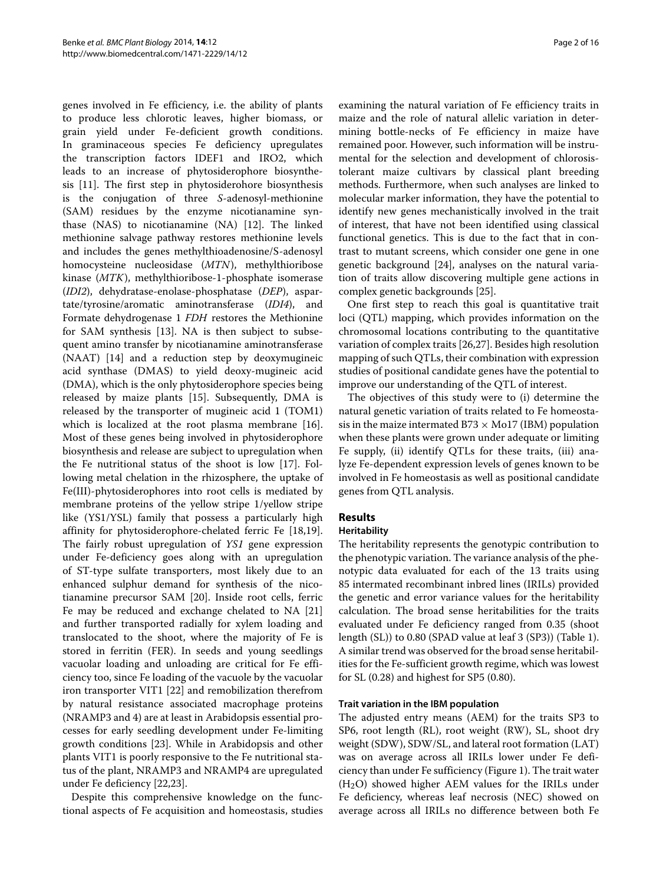genes involved in Fe efficiency, i.e. the ability of plants to produce less chlorotic leaves, higher biomass, or grain yield under Fe-deficient growth conditions. In graminaceous species Fe deficiency upregulates the transcription factors IDEF1 and IRO2, which leads to an increase of phytosiderophore biosynthesis [\[11\]](#page-14-6). The first step in phytosiderohore biosynthesis is the conjugation of three *S*-adenosyl-methionine (SAM) residues by the enzyme nicotianamine synthase (NAS) to nicotianamine (NA) [\[12\]](#page-14-7). The linked methionine salvage pathway restores methionine levels and includes the genes methylthioadenosine/S-adenosyl homocysteine nucleosidase (*MTN*), methylthioribose kinase (*MTK*), methylthioribose-1-phosphate isomerase (*IDI2*), dehydratase-enolase-phosphatase (*DEP*), aspartate/tyrosine/aromatic aminotransferase (*IDI4*), and Formate dehydrogenase 1 *FDH* restores the Methionine for SAM synthesis [\[13\]](#page-14-8). NA is then subject to subsequent amino transfer by nicotianamine aminotransferase (NAAT) [\[14\]](#page-14-9) and a reduction step by deoxymugineic acid synthase (DMAS) to yield deoxy-mugineic acid (DMA), which is the only phytosiderophore species being released by maize plants [\[15\]](#page-14-10). Subsequently, DMA is released by the transporter of mugineic acid 1 (TOM1) which is localized at the root plasma membrane [\[16\]](#page-14-11). Most of these genes being involved in phytosiderophore biosynthesis and release are subject to upregulation when the Fe nutritional status of the shoot is low [\[17\]](#page-14-12). Following metal chelation in the rhizosphere, the uptake of Fe(III)-phytosiderophores into root cells is mediated by membrane proteins of the yellow stripe 1/yellow stripe like (YS1/YSL) family that possess a particularly high affinity for phytosiderophore-chelated ferric Fe [\[18,](#page-14-13)[19\]](#page-14-14). The fairly robust upregulation of *YS1* gene expression under Fe-deficiency goes along with an upregulation of ST-type sulfate transporters, most likely due to an enhanced sulphur demand for synthesis of the nicotianamine precursor SAM [\[20\]](#page-14-15). Inside root cells, ferric Fe may be reduced and exchange chelated to NA [\[21\]](#page-14-16) and further transported radially for xylem loading and translocated to the shoot, where the majority of Fe is stored in ferritin (FER). In seeds and young seedlings vacuolar loading and unloading are critical for Fe efficiency too, since Fe loading of the vacuole by the vacuolar iron transporter VIT1 [\[22\]](#page-14-17) and remobilization therefrom by natural resistance associated macrophage proteins (NRAMP3 and 4) are at least in Arabidopsis essential processes for early seedling development under Fe-limiting growth conditions [\[23\]](#page-14-18). While in Arabidopsis and other plants VIT1 is poorly responsive to the Fe nutritional status of the plant, NRAMP3 and NRAMP4 are upregulated under Fe deficiency [\[22](#page-14-17)[,23\]](#page-14-18).

Despite this comprehensive knowledge on the functional aspects of Fe acquisition and homeostasis, studies examining the natural variation of Fe efficiency traits in maize and the role of natural allelic variation in determining bottle-necks of Fe efficiency in maize have remained poor. However, such information will be instrumental for the selection and development of chlorosistolerant maize cultivars by classical plant breeding methods. Furthermore, when such analyses are linked to molecular marker information, they have the potential to identify new genes mechanistically involved in the trait of interest, that have not been identified using classical functional genetics. This is due to the fact that in contrast to mutant screens, which consider one gene in one genetic background [\[24\]](#page-14-19), analyses on the natural variation of traits allow discovering multiple gene actions in complex genetic backgrounds [\[25\]](#page-14-20).

One first step to reach this goal is quantitative trait loci (QTL) mapping, which provides information on the chromosomal locations contributing to the quantitative variation of complex traits [\[26,](#page-14-21)[27\]](#page-14-22). Besides high resolution mapping of such QTLs, their combination with expression studies of positional candidate genes have the potential to improve our understanding of the QTL of interest.

The objectives of this study were to (i) determine the natural genetic variation of traits related to Fe homeostasis in the maize intermated B73  $\times$  Mo17 (IBM) population when these plants were grown under adequate or limiting Fe supply, (ii) identify QTLs for these traits, (iii) analyze Fe-dependent expression levels of genes known to be involved in Fe homeostasis as well as positional candidate genes from QTL analysis.

## **Results**

## **Heritability**

The heritability represents the genotypic contribution to the phenotypic variation. The variance analysis of the phenotypic data evaluated for each of the 13 traits using 85 intermated recombinant inbred lines (IRILs) provided the genetic and error variance values for the heritability calculation. The broad sense heritabilities for the traits evaluated under Fe deficiency ranged from 0.35 (shoot length (SL)) to 0.80 (SPAD value at leaf 3 (SP3)) (Table [1\)](#page-2-0). A similar trend was observed for the broad sense heritabilities for the Fe-sufficient growth regime, which was lowest for SL (0.28) and highest for SP5 (0.80).

#### **Trait variation in the IBM population**

The adjusted entry means (AEM) for the traits SP3 to SP6, root length (RL), root weight (RW), SL, shoot dry weight (SDW), SDW/SL, and lateral root formation (LAT) was on average across all IRILs lower under Fe deficiency than under Fe sufficiency (Figure [1\)](#page-3-0). The trait water  $(H<sub>2</sub>O)$  showed higher AEM values for the IRILs under Fe deficiency, whereas leaf necrosis (NEC) showed on average across all IRILs no difference between both Fe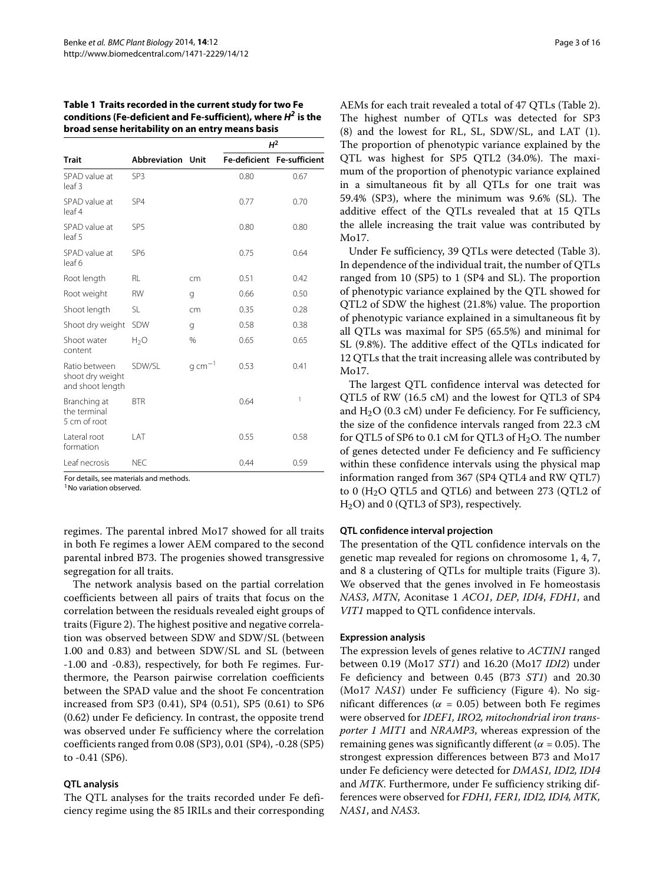<span id="page-2-0"></span>**Table 1 Traits recorded in the current study for two Fe conditions (Fe-deficient and Fe-sufficient), where** *H2* **is the broad sense heritability on an entry means basis**

|                                                       |                          |              |      | $H^2$                      |
|-------------------------------------------------------|--------------------------|--------------|------|----------------------------|
| <b>Trait</b>                                          | <b>Abbreviation Unit</b> |              |      | Fe-deficient Fe-sufficient |
| SPAD value at<br>leaf 3                               | SP <sub>3</sub>          |              | 0.80 | 0.67                       |
| SPAD value at<br>leaf 4                               | SP <sub>4</sub>          |              | 0.77 | 0.70                       |
| SPAD value at<br>leaf 5                               | SP <sub>5</sub>          |              | 0.80 | 0.80                       |
| SPAD value at<br>leaf 6                               | SP <sub>6</sub>          |              | 0.75 | 0.64                       |
| Root length                                           | RL                       | cm           | 0.51 | 0.42                       |
| Root weight                                           | <b>RW</b>                | g            | 0.66 | 0.50                       |
| Shoot length                                          | <b>SL</b>                | cm           | 0.35 | 0.28                       |
| Shoot dry weight                                      | <b>SDW</b>               | g            | 0.58 | 0.38                       |
| Shoot water<br>content                                | $H_2O$                   | %            | 0.65 | 0.65                       |
| Ratio between<br>shoot dry weight<br>and shoot length | SDW/SL                   | g cm $^{-1}$ | 0.53 | 0.41                       |
| Branching at<br>the terminal<br>5 cm of root          | <b>BTR</b>               |              | 0.64 | 1                          |
| Lateral root<br>formation                             | I AT                     |              | 0.55 | 0.58                       |
| Leaf necrosis                                         | <b>NEC</b>               |              | 0.44 | 0.59                       |

For details, see materials and methods.

<sup>1</sup> No variation observed

regimes. The parental inbred Mo17 showed for all traits in both Fe regimes a lower AEM compared to the second parental inbred B73. The progenies showed transgressive segregation for all traits.

The network analysis based on the partial correlation coefficients between all pairs of traits that focus on the correlation between the residuals revealed eight groups of traits (Figure [2\)](#page-4-0). The highest positive and negative correlation was observed between SDW and SDW/SL (between 1.00 and 0.83) and between SDW/SL and SL (between -1.00 and -0.83), respectively, for both Fe regimes. Furthermore, the Pearson pairwise correlation coefficients between the SPAD value and the shoot Fe concentration increased from SP3 (0.41), SP4 (0.51), SP5 (0.61) to SP6 (0.62) under Fe deficiency. In contrast, the opposite trend was observed under Fe sufficiency where the correlation coefficients ranged from 0.08 (SP3), 0.01 (SP4), -0.28 (SP5) to -0.41 (SP6).

#### **QTL analysis**

The QTL analyses for the traits recorded under Fe deficiency regime using the 85 IRILs and their corresponding AEMs for each trait revealed a total of 47 QTLs (Table [2\)](#page-5-0). The highest number of QTLs was detected for SP3 (8) and the lowest for RL, SL, SDW/SL, and LAT (1). The proportion of phenotypic variance explained by the QTL was highest for SP5 QTL2 (34.0%). The maximum of the proportion of phenotypic variance explained in a simultaneous fit by all QTLs for one trait was 59.4% (SP3), where the minimum was 9.6% (SL). The additive effect of the QTLs revealed that at 15 QTLs the allele increasing the trait value was contributed by Mo17.

Under Fe sufficiency, 39 QTLs were detected (Table [3\)](#page-7-0). In dependence of the individual trait, the number of QTLs ranged from 10 (SP5) to 1 (SP4 and SL). The proportion of phenotypic variance explained by the QTL showed for QTL2 of SDW the highest (21.8%) value. The proportion of phenotypic variance explained in a simultaneous fit by all QTLs was maximal for SP5 (65.5%) and minimal for SL (9.8%). The additive effect of the QTLs indicated for 12 QTLs that the trait increasing allele was contributed by Mo17.

The largest QTL confidence interval was detected for QTL5 of RW (16.5 cM) and the lowest for QTL3 of SP4 and  $H<sub>2</sub>O$  (0.3 cM) under Fe deficiency. For Fe sufficiency, the size of the confidence intervals ranged from 22.3 cM for QTL5 of SP6 to 0.1 cM for QTL3 of  $H<sub>2</sub>O$ . The number of genes detected under Fe deficiency and Fe sufficiency within these confidence intervals using the physical map information ranged from 367 (SP4 QTL4 and RW QTL7) to  $0$  (H<sub>2</sub>O QTL5 and QTL6) and between 273 (QTL2 of H2O) and 0 (QTL3 of SP3), respectively.

#### **QTL confidence interval projection**

The presentation of the QTL confidence intervals on the genetic map revealed for regions on chromosome 1, 4, 7, and 8 a clustering of QTLs for multiple traits (Figure [3\)](#page-9-0). We observed that the genes involved in Fe homeostasis *NAS3*, *MTN*, Aconitase 1 *ACO1*, *DEP*, *IDI4*, *FDH1*, and *VIT1* mapped to QTL confidence intervals.

#### **Expression analysis**

The expression levels of genes relative to *ACTIN1* ranged between 0.19 (Mo17 *ST1*) and 16.20 (Mo17 *IDI2*) under Fe deficiency and between 0.45 (B73 *ST1*) and 20.30 (Mo17 *NAS1*) under Fe sufficiency (Figure [4\)](#page-10-0). No significant differences ( $\alpha$  = 0.05) between both Fe regimes were observed for *IDEF1, IRO2, mitochondrial iron transporter 1 MIT1* and *NRAMP3*, whereas expression of the remaining genes was significantly different ( $\alpha$  = 0.05). The strongest expression differences between B73 and Mo17 under Fe deficiency were detected for *DMAS1, IDI2, IDI4* and *MTK*. Furthermore, under Fe sufficiency striking differences were observed for *FDH1, FER1, IDI2, IDI4, MTK, NAS1*, and *NAS3*.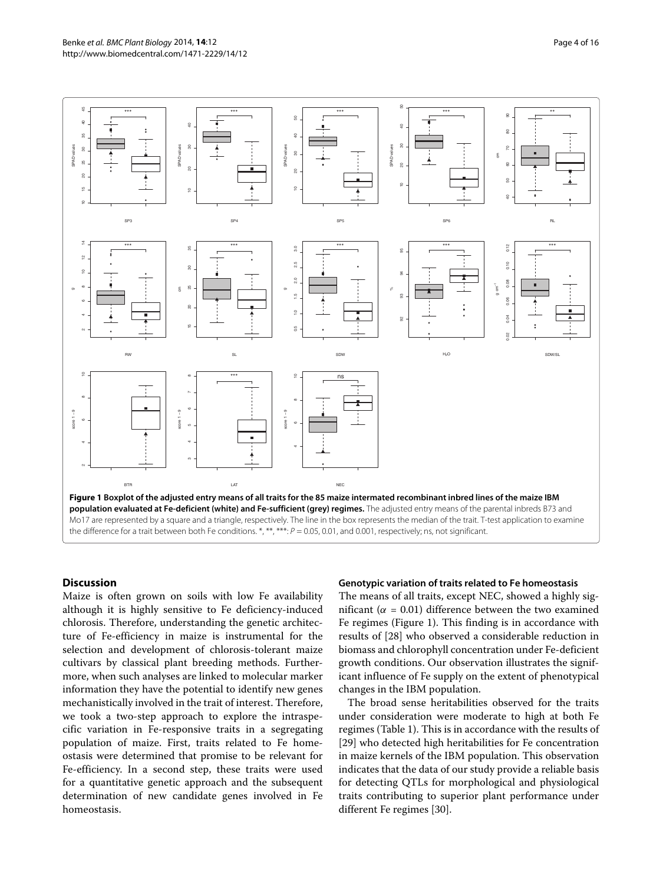

#### <span id="page-3-0"></span>**Discussion**

Maize is often grown on soils with low Fe availability although it is highly sensitive to Fe deficiency-induced chlorosis. Therefore, understanding the genetic architecture of Fe-efficiency in maize is instrumental for the selection and development of chlorosis-tolerant maize cultivars by classical plant breeding methods. Furthermore, when such analyses are linked to molecular marker information they have the potential to identify new genes mechanistically involved in the trait of interest. Therefore, we took a two-step approach to explore the intraspecific variation in Fe-responsive traits in a segregating population of maize. First, traits related to Fe homeostasis were determined that promise to be relevant for Fe-efficiency. In a second step, these traits were used for a quantitative genetic approach and the subsequent determination of new candidate genes involved in Fe homeostasis.

#### **Genotypic variation of traits related to Fe homeostasis**

The means of all traits, except NEC, showed a highly significant ( $\alpha$  = 0.01) difference between the two examined Fe regimes (Figure [1\)](#page-3-0). This finding is in accordance with results of [\[28\]](#page-14-23) who observed a considerable reduction in biomass and chlorophyll concentration under Fe-deficient growth conditions. Our observation illustrates the significant influence of Fe supply on the extent of phenotypical changes in the IBM population.

The broad sense heritabilities observed for the traits under consideration were moderate to high at both Fe regimes (Table [1\)](#page-2-0). This is in accordance with the results of [\[29\]](#page-14-24) who detected high heritabilities for Fe concentration in maize kernels of the IBM population. This observation indicates that the data of our study provide a reliable basis for detecting QTLs for morphological and physiological traits contributing to superior plant performance under different Fe regimes [\[30\]](#page-14-25).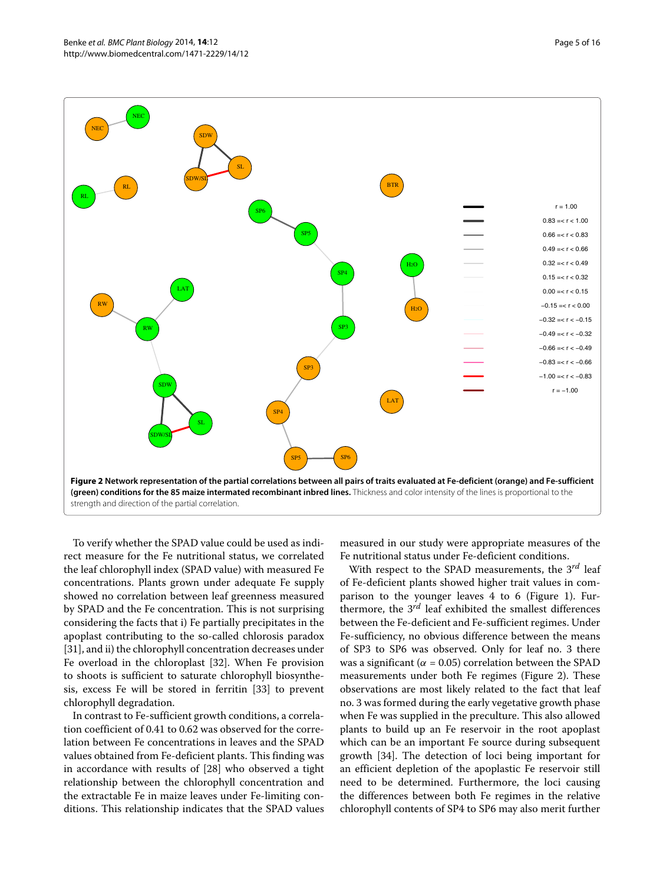

<span id="page-4-0"></span>To verify whether the SPAD value could be used as indirect measure for the Fe nutritional status, we correlated the leaf chlorophyll index (SPAD value) with measured Fe concentrations. Plants grown under adequate Fe supply showed no correlation between leaf greenness measured by SPAD and the Fe concentration. This is not surprising considering the facts that i) Fe partially precipitates in the apoplast contributing to the so-called chlorosis paradox [\[31\]](#page-14-26), and ii) the chlorophyll concentration decreases under Fe overload in the chloroplast [\[32\]](#page-14-27). When Fe provision to shoots is sufficient to saturate chlorophyll biosynthesis, excess Fe will be stored in ferritin [\[33\]](#page-14-28) to prevent chlorophyll degradation.

In contrast to Fe-sufficient growth conditions, a correlation coefficient of 0.41 to 0.62 was observed for the correlation between Fe concentrations in leaves and the SPAD values obtained from Fe-deficient plants. This finding was in accordance with results of [\[28\]](#page-14-23) who observed a tight relationship between the chlorophyll concentration and the extractable Fe in maize leaves under Fe-limiting conditions. This relationship indicates that the SPAD values

measured in our study were appropriate measures of the Fe nutritional status under Fe-deficient conditions.

With respect to the SPAD measurements, the 3*rd* leaf of Fe-deficient plants showed higher trait values in comparison to the younger leaves 4 to 6 (Figure [1\)](#page-3-0). Furthermore, the 3*rd* leaf exhibited the smallest differences between the Fe-deficient and Fe-sufficient regimes. Under Fe-sufficiency, no obvious difference between the means of SP3 to SP6 was observed. Only for leaf no. 3 there was a significant ( $\alpha$  = 0.05) correlation between the SPAD measurements under both Fe regimes (Figure [2\)](#page-4-0). These observations are most likely related to the fact that leaf no. 3 was formed during the early vegetative growth phase when Fe was supplied in the preculture. This also allowed plants to build up an Fe reservoir in the root apoplast which can be an important Fe source during subsequent growth [\[34\]](#page-14-29). The detection of loci being important for an efficient depletion of the apoplastic Fe reservoir still need to be determined. Furthermore, the loci causing the differences between both Fe regimes in the relative chlorophyll contents of SP4 to SP6 may also merit further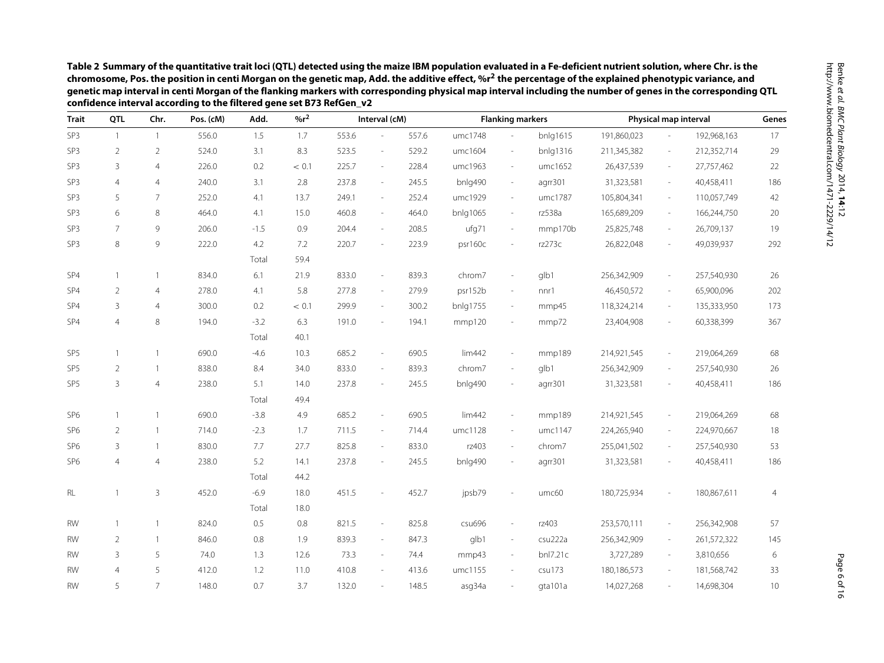<span id="page-5-0"></span>

| <b>Trait</b>    | QTL            | Chr.           | Pos. (cM) | Add.   | $%r^2$ |       | Interval (cM)            |       |          | <b>Flanking markers</b>  |          |             |                          | Physical map interval | Genes          |  |
|-----------------|----------------|----------------|-----------|--------|--------|-------|--------------------------|-------|----------|--------------------------|----------|-------------|--------------------------|-----------------------|----------------|--|
| SP3             | $\overline{1}$ | $\overline{1}$ | 556.0     | 1.5    | 1.7    | 553.6 |                          | 557.6 | umc1748  |                          | bnlg1615 | 191,860,023 |                          | 192,968,163           | 17             |  |
| SP3             | $\overline{2}$ | $\overline{2}$ | 524.0     | 3.1    | 8.3    | 523.5 | $\overline{\phantom{a}}$ | 529.2 | umc1604  | $\overline{\phantom{a}}$ | bnlg1316 | 211,345,382 | $\sim$                   | 212,352,714           | 29             |  |
| SP <sub>3</sub> | 3              | $\overline{4}$ | 226.0     | 0.2    | < 0.1  | 225.7 | $\overline{\phantom{a}}$ | 228.4 | umc1963  | $\overline{\phantom{a}}$ | umc1652  | 26,437,539  | $\overline{\phantom{a}}$ | 27,757,462            | 22             |  |
| SP3             | $\overline{4}$ | $\overline{4}$ | 240.0     | 3.1    | 2.8    | 237.8 | $\sim$                   | 245.5 | bnlg490  | $\overline{\phantom{a}}$ | agrr301  | 31,323,581  | $\overline{\phantom{a}}$ | 40,458,411            | 186            |  |
| SP <sub>3</sub> | 5              | 7              | 252.0     | 4.1    | 13.7   | 249.1 | $\sim$                   | 252.4 | umc1929  | $\overline{\phantom{a}}$ | umc1787  | 105,804,341 | $\overline{\phantom{a}}$ | 110,057,749           | 42             |  |
| SP <sub>3</sub> | 6              | 8              | 464.0     | 4.1    | 15.0   | 460.8 | $\sim$                   | 464.0 | bnlg1065 | $\overline{\phantom{a}}$ | rz538a   | 165,689,209 | $\sim$                   | 166,244,750           | 20             |  |
| SP <sub>3</sub> | $\overline{7}$ | 9              | 206.0     | $-1.5$ | 0.9    | 204.4 | $\sim$                   | 208.5 | ufg71    | $\overline{\phantom{a}}$ | mmp170b  | 25,825,748  | $\sim$                   | 26,709,137            | 19             |  |
| SP <sub>3</sub> | 8              | 9              | 222.0     | 4.2    | 7.2    | 220.7 | $\sim$                   | 223.9 | psr160c  | $\sim$                   | rz273c   | 26,822,048  |                          | 49,039,937            | 292            |  |
|                 |                |                |           | Total  | 59.4   |       |                          |       |          |                          |          |             |                          |                       |                |  |
| SP4             | $\mathbf{1}$   | $\mathbf{1}$   | 834.0     | 6.1    | 21.9   | 833.0 | $\overline{\phantom{a}}$ | 839.3 | chrom7   | $\overline{\phantom{a}}$ | glb1     | 256,342,909 |                          | 257,540,930           | 26             |  |
| SP4             | $\overline{2}$ | $\overline{4}$ | 278.0     | 4.1    | 5.8    | 277.8 | $\sim$                   | 279.9 | psr152b  | $\overline{\phantom{a}}$ | nnr1     | 46,450,572  | $\overline{\phantom{a}}$ | 65,900,096            | 202            |  |
| SP4             | $\overline{3}$ | $\overline{4}$ | 300.0     | 0.2    | < 0.1  | 299.9 | $\sim$                   | 300.2 | bnlg1755 | $\sim$                   | mmp45    | 118,324,214 | $\sim$                   | 135,333,950           | 173            |  |
| SP4             | $\overline{4}$ | 8              | 194.0     | $-3.2$ | 6.3    | 191.0 | $\sim$                   | 194.1 | mmp120   |                          | mmp72    | 23,404,908  |                          | 60,338,399            | 367            |  |
|                 |                |                |           | Total  | 40.1   |       |                          |       |          |                          |          |             |                          |                       |                |  |
| SP <sub>5</sub> | $\mathbf{1}$   | $\overline{1}$ | 690.0     | $-4.6$ | 10.3   | 685.2 | $\overline{\phantom{a}}$ | 690.5 | lim442   | $\overline{\phantom{a}}$ | mmp189   | 214,921,545 | $\overline{\phantom{a}}$ | 219,064,269           | 68             |  |
| SP <sub>5</sub> | $\overline{2}$ | $\overline{1}$ | 838.0     | 8.4    | 34.0   | 833.0 | $\overline{\phantom{a}}$ | 839.3 | chrom7   | $\sim$                   | glb1     | 256,342,909 |                          | 257,540,930           | 26             |  |
| SP <sub>5</sub> | 3              | $\overline{4}$ | 238.0     | 5.1    | 14.0   | 237.8 | $\overline{\phantom{a}}$ | 245.5 | bnlg490  |                          | agrr301  | 31,323,581  |                          | 40,458,411            | 186            |  |
|                 |                |                |           | Total  | 49.4   |       |                          |       |          |                          |          |             |                          |                       |                |  |
| SP <sub>6</sub> | $\mathbf{1}$   | $\overline{1}$ | 690.0     | $-3.8$ | 4.9    | 685.2 | $\overline{\phantom{a}}$ | 690.5 | lim442   | $\overline{\phantom{a}}$ | mmp189   | 214,921,545 | $\overline{\phantom{a}}$ | 219,064,269           | 68             |  |
| SP <sub>6</sub> | $\overline{2}$ | $\overline{1}$ | 714.0     | $-2.3$ | 1.7    | 711.5 | $\overline{\phantom{a}}$ | 714.4 | umc1128  | $\overline{\phantom{a}}$ | umc1147  | 224,265,940 | $\overline{\phantom{a}}$ | 224,970,667           | 18             |  |
| SP <sub>6</sub> | 3              | $\overline{1}$ | 830.0     | 7.7    | 27.7   | 825.8 | $\sim$                   | 833.0 | rz403    | $\sim$                   | chrom7   | 255,041,502 | $\overline{\phantom{a}}$ | 257,540,930           | 53             |  |
| SP <sub>6</sub> | $\overline{4}$ | $\overline{4}$ | 238.0     | 5.2    | 14.1   | 237.8 | $\sim$                   | 245.5 | bnlg490  |                          | agrr301  | 31,323,581  |                          | 40,458,411            | 186            |  |
|                 |                |                |           | Total  | 44.2   |       |                          |       |          |                          |          |             |                          |                       |                |  |
| RL              | 1              | 3              | 452.0     | $-6.9$ | 18.0   | 451.5 |                          | 452.7 | jpsb79   |                          | umc60    | 180,725,934 |                          | 180,867,611           | $\overline{4}$ |  |
|                 |                |                |           | Total  | 18.0   |       |                          |       |          |                          |          |             |                          |                       |                |  |
| <b>RW</b>       | $\mathbf{1}$   | $\mathbf{1}$   | 824.0     | 0.5    | 0.8    | 821.5 | $\overline{\phantom{a}}$ | 825.8 | csu696   | $\overline{\phantom{a}}$ | rz403    | 253,570,111 | $\overline{\phantom{a}}$ | 256,342,908           | 57             |  |
| <b>RW</b>       | $\overline{2}$ | $\mathbf{1}$   | 846.0     | 0.8    | 1.9    | 839.3 | $\sim$                   | 847.3 | glb1     | $\sim$                   | csu222a  | 256,342,909 | $\sim$                   | 261,572,322           | 145            |  |
| <b>RW</b>       | $\overline{3}$ | 5              | 74.0      | 1.3    | 12.6   | 73.3  | $\overline{\phantom{a}}$ | 74.4  | mmp43    | $\sim$                   | bnl7.21c | 3,727,289   | $\sim$                   | 3,810,656             | 6              |  |
| <b>RW</b>       | $\overline{A}$ | 5              | 412.0     | 1.2    | 11.0   | 410.8 | ×.                       | 413.6 | umc1155  | $\sim$                   | csu173   | 180,186,573 |                          | 181,568,742           | 33             |  |
| <b>RW</b>       | 5              | $\overline{7}$ | 148.0     | 0.7    | 3.7    | 132.0 | $\sim$                   | 148.5 | asg34a   |                          | gta101a  | 14,027,268  |                          | 14,698,304            | 10             |  |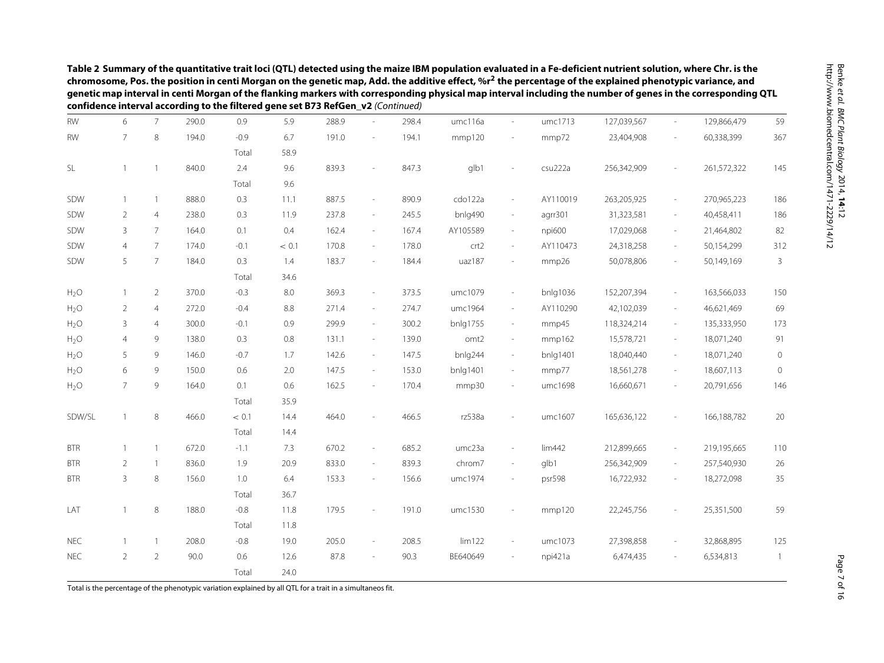|                  |                |                |       | confidence interval according to the filtered gene set B73 RefGen_v2 (Continued) |         |       |                          |       |          |                          |          |             |                          |             |                |
|------------------|----------------|----------------|-------|----------------------------------------------------------------------------------|---------|-------|--------------------------|-------|----------|--------------------------|----------|-------------|--------------------------|-------------|----------------|
| <b>RW</b>        | 6              | $\overline{7}$ | 290.0 | 0.9                                                                              | 5.9     | 288.9 |                          | 298.4 | umc116a  |                          | umc1713  | 127,039,567 | $\overline{\phantom{a}}$ | 129,866,479 | 59             |
| <b>RW</b>        | 7              | 8              | 194.0 | $-0.9$                                                                           | 6.7     | 191.0 | $\sim$                   | 194.1 | mmp120   |                          | mmp72    | 23,404,908  | ä,                       | 60,338,399  | 367            |
|                  |                |                |       | Total                                                                            | 58.9    |       |                          |       |          |                          |          |             |                          |             |                |
| SL               |                | $\mathbf{1}$   | 840.0 | 2.4                                                                              | 9.6     | 839.3 | $\overline{\phantom{a}}$ | 847.3 | glb1     |                          | csu222a  | 256,342,909 |                          | 261,572,322 | 145            |
|                  |                |                |       | Total                                                                            | 9.6     |       |                          |       |          |                          |          |             |                          |             |                |
| SDW              | $\mathbf{1}$   | $\mathbf{1}$   | 888.0 | 0.3                                                                              | 11.1    | 887.5 | $\overline{\phantom{a}}$ | 890.9 | cdo122a  | $\overline{\phantom{a}}$ | AY110019 | 263,205,925 | $\overline{\phantom{a}}$ | 270,965,223 | 186            |
| SDW              | 2              | $\overline{4}$ | 238.0 | 0.3                                                                              | 11.9    | 237.8 | $\overline{\phantom{a}}$ | 245.5 | bnlg490  | $\overline{\phantom{a}}$ | agrr301  | 31,323,581  | $\overline{\phantom{a}}$ | 40,458,411  | 186            |
| SDW              | 3              | $\overline{7}$ | 164.0 | 0.1                                                                              | 0.4     | 162.4 | $\sim$                   | 167.4 | AY105589 | $\overline{\phantom{a}}$ | npi600   | 17,029,068  | $\overline{\phantom{a}}$ | 21,464,802  | 82             |
| SDW              | $\overline{4}$ | 7              | 174.0 | $-0.1$                                                                           | < 0.1   | 170.8 | $\overline{\phantom{a}}$ | 178.0 | crt2     | $\overline{\phantom{a}}$ | AY110473 | 24,318,258  | ÷,                       | 50,154,299  | 312            |
| SDW              | 5              | $\overline{7}$ | 184.0 | 0.3                                                                              | 1.4     | 183.7 | $\sim$                   | 184.4 | uaz187   | $\overline{\phantom{m}}$ | mmp26    | 50,078,806  | $\overline{\phantom{m}}$ | 50,149,169  | 3              |
|                  |                |                |       | Total                                                                            | 34.6    |       |                          |       |          |                          |          |             |                          |             |                |
| $H_2O$           | 1              | $\overline{2}$ | 370.0 | $-0.3$                                                                           | $8.0\,$ | 369.3 | $\overline{\phantom{a}}$ | 373.5 | umc1079  | $\overline{\phantom{a}}$ | bnlg1036 | 152,207,394 | $\frac{1}{2}$            | 163,566,033 | 150            |
| H <sub>2</sub> O | $\overline{2}$ | 4              | 272.0 | $-0.4$                                                                           | 8.8     | 271.4 | $\overline{\phantom{a}}$ | 274.7 | umc1964  | $\overline{\phantom{a}}$ | AY110290 | 42,102,039  | $\sim$                   | 46,621,469  | 69             |
| H <sub>2</sub> O | 3              | $\overline{4}$ | 300.0 | $-0.1$                                                                           | 0.9     | 299.9 | $\sim$                   | 300.2 | bnlg1755 | $\overline{\phantom{a}}$ | mmp45    | 118,324,214 | $\overline{\phantom{a}}$ | 135,333,950 | 173            |
| H <sub>2</sub> O | $\overline{4}$ | 9              | 138.0 | 0.3                                                                              | 0.8     | 131.1 | $\sim$                   | 139.0 | omt2     | $\sim$                   | mmp162   | 15,578,721  | $\overline{\phantom{a}}$ | 18,071,240  | 91             |
| H <sub>2</sub> O | 5              | 9              | 146.0 | $-0.7$                                                                           | 1.7     | 142.6 | $\overline{\phantom{a}}$ | 147.5 | bnlg244  | $\overline{\phantom{a}}$ | bnlg1401 | 18,040,440  | $\overline{\phantom{a}}$ | 18,071,240  | $\circ$        |
| H <sub>2</sub> O | 6              | 9              | 150.0 | 0.6                                                                              | 2.0     | 147.5 | $\overline{\phantom{a}}$ | 153.0 | bnlg1401 | $\overline{\phantom{a}}$ | mmp77    | 18,561,278  | ÷,                       | 18,607,113  | $\mathbf 0$    |
| $H_2O$           | $\overline{7}$ | 9              | 164.0 | 0.1                                                                              | 0.6     | 162.5 | $\sim$                   | 170.4 | mmp30    | $\overline{\phantom{a}}$ | umc1698  | 16,660,671  | $\overline{\phantom{a}}$ | 20,791,656  | 146            |
|                  |                |                |       | Total                                                                            | 35.9    |       |                          |       |          |                          |          |             |                          |             |                |
| SDW/SL           | $\mathbf{1}$   | $\,8\,$        | 466.0 | < 0.1                                                                            | 14.4    | 464.0 | $\sim$                   | 466.5 | rz538a   | $\overline{a}$           | umc1607  | 165,636,122 | $\overline{\phantom{a}}$ | 166,188,782 | 20             |
|                  |                |                |       | Total                                                                            | 14.4    |       |                          |       |          |                          |          |             |                          |             |                |
| <b>BTR</b>       |                | $\mathbf{1}$   | 672.0 | $-1.1$                                                                           | 7.3     | 670.2 | $\overline{\phantom{a}}$ | 685.2 | umc23a   | $\sim$                   | lim442   | 212,899,665 | $\overline{\phantom{a}}$ | 219,195,665 | 110            |
| <b>BTR</b>       | 2              | $\mathbf{1}$   | 836.0 | 1.9                                                                              | 20.9    | 833.0 | $\overline{\phantom{a}}$ | 839.3 | chrom7   | ÷                        | glb1     | 256,342,909 | $\frac{1}{2}$            | 257,540,930 | 26             |
| <b>BTR</b>       | 3              | 8              | 156.0 | 1.0                                                                              | 6.4     | 153.3 | $\overline{\phantom{a}}$ | 156.6 | umc1974  |                          | psr598   | 16,722,932  | $\overline{\phantom{a}}$ | 18,272,098  | 35             |
|                  |                |                |       | Total                                                                            | 36.7    |       |                          |       |          |                          |          |             |                          |             |                |
| LAT              |                | 8              | 188.0 | $-0.8$                                                                           | 11.8    | 179.5 |                          | 191.0 | umc1530  |                          | mmp120   | 22,245,756  |                          | 25,351,500  | 59             |
|                  |                |                |       | Total                                                                            | 11.8    |       |                          |       |          |                          |          |             |                          |             |                |
| <b>NEC</b>       | $\mathbf{1}$   | $\mathbf{1}$   | 208.0 | $-0.8$                                                                           | 19.0    | 205.0 | $\overline{\phantom{a}}$ | 208.5 | lim122   | $\overline{\phantom{a}}$ | umc1073  | 27,398,858  |                          | 32,868,895  | 125            |
| <b>NEC</b>       | $\overline{2}$ | $\overline{2}$ | 90.0  | 0.6                                                                              | 12.6    | 87.8  | $\sim$                   | 90.3  | BE640649 | $\sim$                   | npi421a  | 6,474,435   | ٠                        | 6,534,813   | $\overline{1}$ |
|                  |                |                |       | Total                                                                            | 24.0    |       |                          |       |          |                          |          |             |                          |             |                |

Total is the percentage of the phenotypic variation explained by all QTL for <sup>a</sup> trait in <sup>a</sup> simultaneos fit.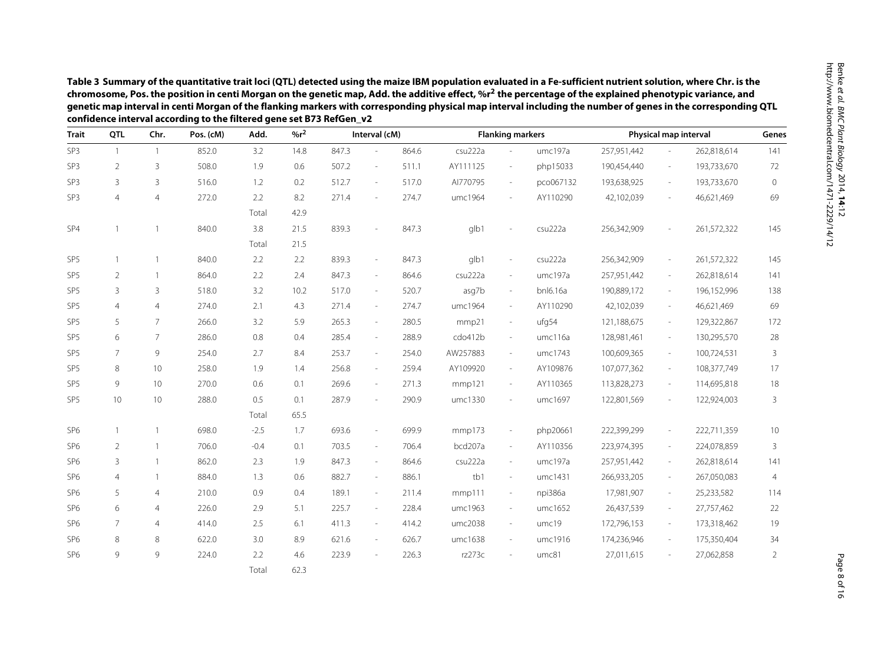|                 | QTL            |                | confidence interval according to the filtered gene set B73 RefGen_v2<br>Pos. (cM) |        | $%r^2$ |       |                          |       | <b>Flanking markers</b> |                          |           |             |                          |                       |                |
|-----------------|----------------|----------------|-----------------------------------------------------------------------------------|--------|--------|-------|--------------------------|-------|-------------------------|--------------------------|-----------|-------------|--------------------------|-----------------------|----------------|
| <b>Trait</b>    |                | Chr.           |                                                                                   | Add.   |        |       | Interval (cM)            |       |                         |                          |           |             |                          | Physical map interval | Genes          |
| SP <sub>3</sub> | $\overline{1}$ | $\overline{1}$ | 852.0                                                                             | 3.2    | 14.8   | 847.3 | ä,                       | 864.6 | csu222a                 | $\overline{a}$           | umc197a   | 257,951,442 |                          | 262,818,614           | 141            |
| SP3             | $\overline{2}$ | 3              | 508.0                                                                             | 1.9    | 0.6    | 507.2 | ÷,                       | 511.1 | AY111125                | $\overline{\phantom{a}}$ | php15033  | 190,454,440 | $\overline{\phantom{a}}$ | 193,733,670           | 72             |
| SP <sub>3</sub> | 3              | $\overline{3}$ | 516.0                                                                             | 1.2    | 0.2    | 512.7 | ÷,                       | 517.0 | AI770795                | $\overline{\phantom{a}}$ | pco067132 | 193,638,925 | $\sim$                   | 193,733,670           | 0              |
| SP3             | $\overline{4}$ | $\overline{4}$ | 272.0                                                                             | 2.2    | 8.2    | 271.4 | $\overline{\phantom{m}}$ | 274.7 | umc1964                 | ÷,                       | AY110290  | 42,102,039  | $\sim$                   | 46,621,469            | 69             |
|                 |                |                |                                                                                   | Total  | 42.9   |       |                          |       |                         |                          |           |             |                          |                       |                |
| SP4             | $\mathbf{1}$   |                | 840.0                                                                             | 3.8    | 21.5   | 839.3 | ÷,                       | 847.3 | glb1                    |                          | csu222a   | 256,342,909 |                          | 261,572,322           | 145            |
|                 |                |                |                                                                                   | Total  | 21.5   |       |                          |       |                         |                          |           |             |                          |                       |                |
| SP <sub>5</sub> | $\mathbf{1}$   | $\overline{1}$ | 840.0                                                                             | 2.2    | 2.2    | 839.3 | $\overline{\phantom{a}}$ | 847.3 | glb1                    | $\sim$                   | csu222a   | 256,342,909 | $\sim$                   | 261,572,322           | 145            |
| SP <sub>5</sub> | 2              | $\overline{1}$ | 864.0                                                                             | 2.2    | 2.4    | 847.3 | $\sim$                   | 864.6 | csu222a                 | $\sim$                   | umc197a   | 257,951,442 | $\sim$                   | 262,818,614           | 141            |
| SP <sub>5</sub> | $\overline{3}$ | $\overline{3}$ | 518.0                                                                             | 3.2    | 10.2   | 517.0 | $\overline{\phantom{a}}$ | 520.7 | asg7b                   | $\overline{\phantom{a}}$ | bnl6.16a  | 190,889,172 | $\overline{\phantom{a}}$ | 196,152,996           | 138            |
| SP <sub>5</sub> | $\overline{4}$ | $\overline{4}$ | 274.0                                                                             | 2.1    | 4.3    | 271.4 | $\overline{\phantom{a}}$ | 274.7 | umc1964                 | $\overline{\phantom{a}}$ | AY110290  | 42,102,039  | $\overline{\phantom{a}}$ | 46,621,469            | 69             |
| SP <sub>5</sub> | 5              | $\overline{7}$ | 266.0                                                                             | 3.2    | 5.9    | 265.3 | $\overline{\phantom{a}}$ | 280.5 | mmp21                   | $\sim$                   | ufg54     | 121,188,675 | $\sim$                   | 129,322,867           | 172            |
| SP <sub>5</sub> | 6              | $\overline{7}$ | 286.0                                                                             | 0.8    | 0.4    | 285.4 | $\overline{\phantom{a}}$ | 288.9 | cdo412b                 | $\overline{\phantom{a}}$ | umc116a   | 128,981,461 | $\overline{\phantom{a}}$ | 130,295,570           | 28             |
| SP <sub>5</sub> | 7              | 9              | 254.0                                                                             | 2.7    | 8.4    | 253.7 | $\overline{\phantom{a}}$ | 254.0 | AW257883                | $\overline{\phantom{a}}$ | umc1743   | 100,609,365 | $\overline{\phantom{a}}$ | 100,724,531           | 3              |
| SP <sub>5</sub> | 8              | 10             | 258.0                                                                             | 1.9    | 1.4    | 256.8 | $\overline{\phantom{a}}$ | 259.4 | AY109920                | $\overline{\phantom{a}}$ | AY109876  | 107,077,362 | $\overline{\phantom{a}}$ | 108,377,749           | 17             |
| SP <sub>5</sub> | 9              | 10             | 270.0                                                                             | 0.6    | 0.1    | 269.6 | $\sim$                   | 271.3 | mmp121                  | $\sim$                   | AY110365  | 113,828,273 | $\sim$                   | 114,695,818           | 18             |
| SP <sub>5</sub> | 10             | 10             | 288.0                                                                             | 0.5    | 0.1    | 287.9 | ÷,                       | 290.9 | umc1330                 | ÷,                       | umc1697   | 122,801,569 | $\overline{\phantom{a}}$ | 122,924,003           | 3              |
|                 |                |                |                                                                                   | Total  | 65.5   |       |                          |       |                         |                          |           |             |                          |                       |                |
| SP <sub>6</sub> | $\mathbf{1}$   | $\mathbf{1}$   | 698.0                                                                             | $-2.5$ | 1.7    | 693.6 | $\overline{\phantom{a}}$ | 699.9 | mmp173                  | $\overline{\phantom{a}}$ | php20661  | 222,399,299 | $\overline{\phantom{a}}$ | 222,711,359           | 10             |
| SP <sub>6</sub> | $\overline{2}$ | 1              | 706.0                                                                             | $-0.4$ | 0.1    | 703.5 | $\sim$                   | 706.4 | bcd207a                 | $\bar{a}$                | AY110356  | 223,974,395 | $\sim$                   | 224,078,859           | 3              |
| SP <sub>6</sub> | 3              | $\mathbf{1}$   | 862.0                                                                             | 2.3    | 1.9    | 847.3 | $\overline{\phantom{a}}$ | 864.6 | csu222a                 | $\sim$                   | umc197a   | 257,951,442 | $\sim$                   | 262,818,614           | 141            |
| SP <sub>6</sub> | 4              | 1              | 884.0                                                                             | 1.3    | 0.6    | 882.7 | $\sim$                   | 886.1 | tb1                     | $\overline{\phantom{a}}$ | umc1431   | 266,933,205 | $\sim$                   | 267,050,083           | 4              |
| SP <sub>6</sub> | 5              | $\overline{4}$ | 210.0                                                                             | 0.9    | 0.4    | 189.1 | $\overline{\phantom{a}}$ | 211.4 | mmp111                  | $\overline{\phantom{a}}$ | npi386a   | 17,981,907  | $\overline{\phantom{a}}$ | 25,233,582            | 114            |
| SP <sub>6</sub> | 6              | $\overline{4}$ | 226.0                                                                             | 2.9    | 5.1    | 225.7 | $\overline{\phantom{a}}$ | 228.4 | umc1963                 | $\sim$                   | umc1652   | 26,437,539  | $\sim$                   | 27,757,462            | 22             |
| SP <sub>6</sub> | $\overline{7}$ | $\overline{4}$ | 414.0                                                                             | 2.5    | 6.1    | 411.3 | $\overline{\phantom{a}}$ | 414.2 | umc2038                 | $\overline{\phantom{a}}$ | umc19     | 172,796,153 | $\sim$                   | 173,318,462           | 19             |
| SP <sub>6</sub> | 8              | 8              | 622.0                                                                             | 3.0    | 8.9    | 621.6 | $\overline{\phantom{a}}$ | 626.7 | umc1638                 | $\overline{\phantom{a}}$ | umc1916   | 174,236,946 | $\overline{\phantom{a}}$ | 175,350,404           | 34             |
| SP <sub>6</sub> | 9              | 9              | 224.0                                                                             | 2.2    | 4.6    | 223.9 | L,                       | 226.3 | rz273c                  |                          | umc81     | 27,011,615  |                          | 27,062,858            | $\overline{2}$ |
|                 |                |                |                                                                                   | Total  | 62.3   |       |                          |       |                         |                          |           |             |                          |                       |                |

<span id="page-7-0"></span>Page 8 of 16 Page 8 of 16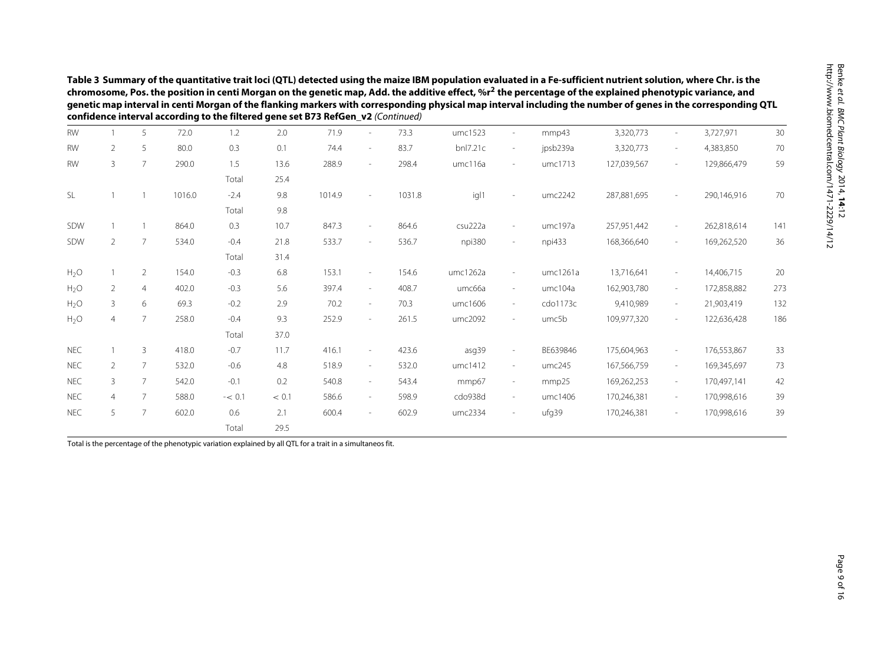|                       | Table 3 Summary of the quantitative trait loci (QTL) detected using the maize IBM population evaluated in a Fe-sufficient nutrient solution, where Chr. is the<br>chromosome, Pos. the position in centi Morgan on the genetic map, Add. the additive effect, %r <sup>2</sup> the percentage of the explained phenotypic variance, and<br>genetic map interval in centi Morgan of the flanking markers with corresponding physical map interval including the number of genes in the corresponding QTL<br>confidence interval according to the filtered gene set B73 RefGen_v2 (Continued) |                 |        |          |       |        |        |        |          |                          |          |             |                          |             |     |
|-----------------------|--------------------------------------------------------------------------------------------------------------------------------------------------------------------------------------------------------------------------------------------------------------------------------------------------------------------------------------------------------------------------------------------------------------------------------------------------------------------------------------------------------------------------------------------------------------------------------------------|-----------------|--------|----------|-------|--------|--------|--------|----------|--------------------------|----------|-------------|--------------------------|-------------|-----|
| <b>RW</b>             |                                                                                                                                                                                                                                                                                                                                                                                                                                                                                                                                                                                            | 5               | 72.0   | 1.2      | 2.0   | 71.9   |        | 73.3   | umc1523  |                          | mmp43    | 3,320,773   |                          | 3,727,971   | 30  |
| <b>RW</b>             | 2                                                                                                                                                                                                                                                                                                                                                                                                                                                                                                                                                                                          | -5              | 80.0   | 0.3      | 0.1   | 74.4   |        | 83.7   | bnl7.21c | $\sim$                   | jpsb239a | 3,320,773   | $\sim$                   | 4,383,850   | 70  |
| <b>RW</b>             | 3                                                                                                                                                                                                                                                                                                                                                                                                                                                                                                                                                                                          | $7\overline{ }$ | 290.0  | 1.5      | 13.6  | 288.9  | $\sim$ | 298.4  | umc116a  |                          | umc1713  | 127,039,567 | $\sim$                   | 129,866,479 | 59  |
|                       |                                                                                                                                                                                                                                                                                                                                                                                                                                                                                                                                                                                            |                 |        | Total    | 25.4  |        |        |        |          |                          |          |             |                          |             |     |
| <b>SL</b>             |                                                                                                                                                                                                                                                                                                                                                                                                                                                                                                                                                                                            |                 | 1016.0 | $-2.4$   | 9.8   | 1014.9 |        | 1031.8 | igl1     |                          | umc2242  | 287,881,695 | $\overline{\phantom{a}}$ | 290,146,916 | 70  |
|                       |                                                                                                                                                                                                                                                                                                                                                                                                                                                                                                                                                                                            |                 |        | Total    | 9.8   |        |        |        |          |                          |          |             |                          |             |     |
| SDW                   |                                                                                                                                                                                                                                                                                                                                                                                                                                                                                                                                                                                            |                 | 864.0  | 0.3      | 10.7  | 847.3  |        | 864.6  | csu222a  |                          | umc197a  | 257,951,442 | $\overline{\phantom{a}}$ | 262,818,614 | 141 |
| $\overline{2}$<br>SDW |                                                                                                                                                                                                                                                                                                                                                                                                                                                                                                                                                                                            | 7               | 534.0  | $-0.4$   | 21.8  | 533.7  |        | 536.7  | npi380   | $\overline{\phantom{a}}$ | npi433   | 168,366,640 | $\sim$                   | 169,262,520 | 36  |
|                       |                                                                                                                                                                                                                                                                                                                                                                                                                                                                                                                                                                                            |                 | Total  | 31.4     |       |        |        |        |          |                          |          |             |                          |             |     |
| $H_2O$                |                                                                                                                                                                                                                                                                                                                                                                                                                                                                                                                                                                                            | 2               | 154.0  | $-0.3$   | 6.8   | 153.1  | $\sim$ | 154.6  | umc1262a | $\sim$                   | umc1261a | 13,716,641  | $\sim$                   | 14,406,715  | 20  |
| H <sub>2</sub> O      | $\overline{2}$                                                                                                                                                                                                                                                                                                                                                                                                                                                                                                                                                                             | $\overline{4}$  | 402.0  | $-0.3$   | 5.6   | 397.4  | $\sim$ | 408.7  | umc66a   | $\sim$                   | umc104a  | 162,903,780 | $\sim$                   | 172,858,882 | 273 |
| H <sub>2</sub> O      | $\mathbf{3}$                                                                                                                                                                                                                                                                                                                                                                                                                                                                                                                                                                               | 6               | 69.3   | $-0.2$   | 2.9   | 70.2   | $\sim$ | 70.3   | umc1606  | $\sim$                   | cdo1173c | 9,410,989   | $\sim$                   | 21,903,419  | 132 |
| H <sub>2</sub> O      | $\overline{4}$                                                                                                                                                                                                                                                                                                                                                                                                                                                                                                                                                                             | 7               | 258.0  | $-0.4$   | 9.3   | 252.9  | $\sim$ | 261.5  | umc2092  | $\sim$                   | umc5b    | 109,977,320 | $\sim$                   | 122,636,428 | 186 |
|                       |                                                                                                                                                                                                                                                                                                                                                                                                                                                                                                                                                                                            |                 |        | Total    | 37.0  |        |        |        |          |                          |          |             |                          |             |     |
| <b>NEC</b>            |                                                                                                                                                                                                                                                                                                                                                                                                                                                                                                                                                                                            | 3               | 418.0  | $-0.7$   | 11.7  | 416.1  |        | 423.6  | asg39    |                          | BE639846 | 175,604,963 | $\sim$                   | 176,553,867 | 33  |
| <b>NEC</b>            | $\overline{2}$                                                                                                                                                                                                                                                                                                                                                                                                                                                                                                                                                                             | $\overline{7}$  | 532.0  | $-0.6$   | 4.8   | 518.9  | $\sim$ | 532.0  | umc1412  | $\overline{\phantom{a}}$ | umc245   | 167,566,759 | $\overline{\phantom{a}}$ | 169,345,697 | 73  |
| <b>NEC</b>            | 3                                                                                                                                                                                                                                                                                                                                                                                                                                                                                                                                                                                          | $\overline{7}$  | 542.0  | $-0.1$   | 0.2   | 540.8  | $\sim$ | 543.4  | mmp67    | $\sim$                   | mmp25    | 169,262,253 | $\sim$                   | 170,497,141 | 42  |
| <b>NEC</b>            | $\overline{4}$                                                                                                                                                                                                                                                                                                                                                                                                                                                                                                                                                                             |                 | 588.0  | $-< 0.1$ | < 0.1 | 586.6  |        | 598.9  | cdo938d  | $\sim$                   | umc1406  | 170,246,381 | $\sim$                   | 170,998,616 | 39  |
| <b>NEC</b>            | 5                                                                                                                                                                                                                                                                                                                                                                                                                                                                                                                                                                                          | $\overline{7}$  | 602.0  | 0.6      | 2.1   | 600.4  | $\sim$ | 602.9  | umc2334  | $\sim$                   | ufg39    | 170,246,381 | $\sim$                   | 170,998,616 | 39  |
|                       |                                                                                                                                                                                                                                                                                                                                                                                                                                                                                                                                                                                            |                 |        | Total    | 29.5  |        |        |        |          |                          |          |             |                          |             |     |

Total is the percentage of the phenotypic variation explained by all QTL for <sup>a</sup> trait in <sup>a</sup> simultaneos fit.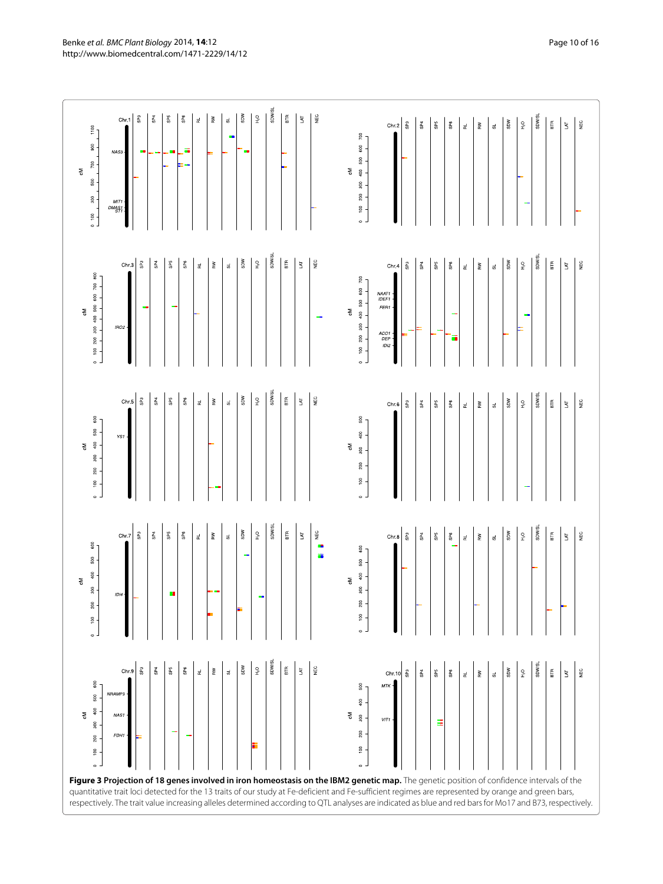<span id="page-9-0"></span>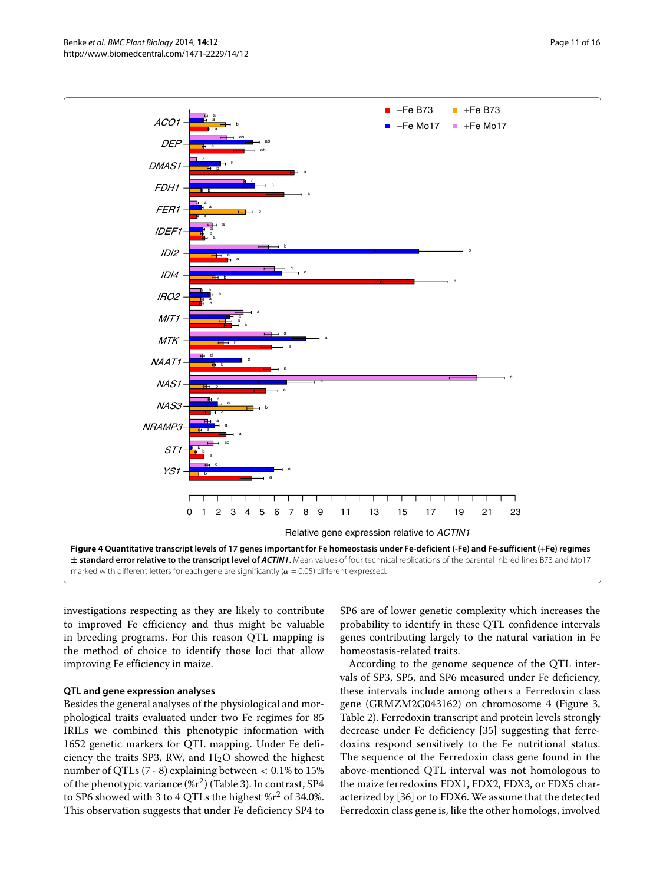

<span id="page-10-0"></span>investigations respecting as they are likely to contribute to improved Fe efficiency and thus might be valuable in breeding programs. For this reason QTL mapping is the method of choice to identify those loci that allow improving Fe efficiency in maize.

#### **QTL and gene expression analyses**

Besides the general analyses of the physiological and morphological traits evaluated under two Fe regimes for 85 IRILs we combined this phenotypic information with 1652 genetic markers for QTL mapping. Under Fe deficiency the traits SP3, RW, and  $H_2O$  showed the highest number of QTLs (7 - 8) explaining between *<* 0.1% to 15% of the phenotypic variance  $(\%r^2)$  (Table [3\)](#page-7-0). In contrast, SP4 to SP6 showed with 3 to 4 QTLs the highest  $\%r^2$  of 34.0%. This observation suggests that under Fe deficiency SP4 to SP6 are of lower genetic complexity which increases the probability to identify in these QTL confidence intervals genes contributing largely to the natural variation in Fe homeostasis-related traits.

According to the genome sequence of the QTL intervals of SP3, SP5, and SP6 measured under Fe deficiency, these intervals include among others a Ferredoxin class gene (GRMZM2G043162) on chromosome 4 (Figure [3,](#page-9-0) Table [2\)](#page-5-0). Ferredoxin transcript and protein levels strongly decrease under Fe deficiency [\[35\]](#page-14-30) suggesting that ferredoxins respond sensitively to the Fe nutritional status. The sequence of the Ferredoxin class gene found in the above-mentioned QTL interval was not homologous to the maize ferredoxins FDX1, FDX2, FDX3, or FDX5 characterized by [\[36\]](#page-14-31) or to FDX6. We assume that the detected Ferredoxin class gene is, like the other homologs, involved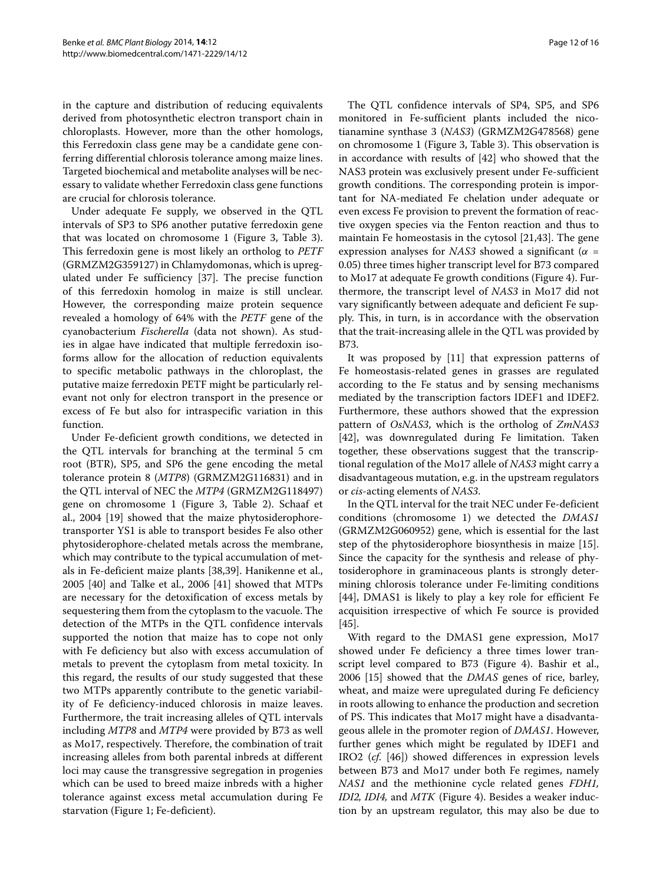in the capture and distribution of reducing equivalents derived from photosynthetic electron transport chain in chloroplasts. However, more than the other homologs, this Ferredoxin class gene may be a candidate gene conferring differential chlorosis tolerance among maize lines. Targeted biochemical and metabolite analyses will be necessary to validate whether Ferredoxin class gene functions are crucial for chlorosis tolerance.

Under adequate Fe supply, we observed in the QTL intervals of SP3 to SP6 another putative ferredoxin gene that was located on chromosome 1 (Figure [3,](#page-9-0) Table [3\)](#page-7-0). This ferredoxin gene is most likely an ortholog to *PETF* (GRMZM2G359127) in Chlamydomonas, which is upregulated under Fe sufficiency [\[37\]](#page-14-32). The precise function of this ferredoxin homolog in maize is still unclear. However, the corresponding maize protein sequence revealed a homology of 64% with the *PETF* gene of the cyanobacterium *Fischerella* (data not shown). As studies in algae have indicated that multiple ferredoxin isoforms allow for the allocation of reduction equivalents to specific metabolic pathways in the chloroplast, the putative maize ferredoxin PETF might be particularly relevant not only for electron transport in the presence or excess of Fe but also for intraspecific variation in this function.

Under Fe-deficient growth conditions, we detected in the QTL intervals for branching at the terminal 5 cm root (BTR), SP5, and SP6 the gene encoding the metal tolerance protein 8 (*MTP8*) (GRMZM2G116831) and in the QTL interval of NEC the *MTP4* (GRMZM2G118497) gene on chromosome 1 (Figure [3,](#page-9-0) Table [2\)](#page-5-0). Schaaf et al., 2004 [\[19\]](#page-14-14) showed that the maize phytosiderophoretransporter YS1 is able to transport besides Fe also other phytosiderophore-chelated metals across the membrane, which may contribute to the typical accumulation of metals in Fe-deficient maize plants [\[38](#page-14-33)[,39\]](#page-14-34). Hanikenne et al., 2005 [\[40\]](#page-14-35) and Talke et al., 2006 [\[41\]](#page-14-36) showed that MTPs are necessary for the detoxification of excess metals by sequestering them from the cytoplasm to the vacuole. The detection of the MTPs in the QTL confidence intervals supported the notion that maize has to cope not only with Fe deficiency but also with excess accumulation of metals to prevent the cytoplasm from metal toxicity. In this regard, the results of our study suggested that these two MTPs apparently contribute to the genetic variability of Fe deficiency-induced chlorosis in maize leaves. Furthermore, the trait increasing alleles of QTL intervals including *MTP8* and *MTP4* were provided by B73 as well as Mo17, respectively. Therefore, the combination of trait increasing alleles from both parental inbreds at different loci may cause the transgressive segregation in progenies which can be used to breed maize inbreds with a higher tolerance against excess metal accumulation during Fe starvation (Figure [1;](#page-3-0) Fe-deficient).

The QTL confidence intervals of SP4, SP5, and SP6 monitored in Fe-sufficient plants included the nicotianamine synthase 3 (*NAS3*) (GRMZM2G478568) gene on chromosome 1 (Figure [3,](#page-9-0) Table [3\)](#page-7-0). This observation is in accordance with results of [\[42\]](#page-14-37) who showed that the NAS3 protein was exclusively present under Fe-sufficient growth conditions. The corresponding protein is important for NA-mediated Fe chelation under adequate or even excess Fe provision to prevent the formation of reactive oxygen species via the Fenton reaction and thus to maintain Fe homeostasis in the cytosol [\[21,](#page-14-16)[43\]](#page-14-38). The gene expression analyses for *NAS3* showed a significant ( $\alpha$  = 0.05) three times higher transcript level for B73 compared to Mo17 at adequate Fe growth conditions (Figure [4\)](#page-10-0). Furthermore, the transcript level of *NAS3* in Mo17 did not vary significantly between adequate and deficient Fe supply. This, in turn, is in accordance with the observation that the trait-increasing allele in the QTL was provided by B73.

It was proposed by [\[11\]](#page-14-6) that expression patterns of Fe homeostasis-related genes in grasses are regulated according to the Fe status and by sensing mechanisms mediated by the transcription factors IDEF1 and IDEF2. Furthermore, these authors showed that the expression pattern of *OsNAS3*, which is the ortholog of *ZmNAS3* [\[42\]](#page-14-37), was downregulated during Fe limitation. Taken together, these observations suggest that the transcriptional regulation of the Mo17 allele of *NAS3* might carry a disadvantageous mutation, e.g. in the upstream regulators or *cis*-acting elements of *NAS3*.

In the QTL interval for the trait NEC under Fe-deficient conditions (chromosome 1) we detected the *DMAS1* (GRMZM2G060952) gene, which is essential for the last step of the phytosiderophore biosynthesis in maize [\[15\]](#page-14-10). Since the capacity for the synthesis and release of phytosiderophore in graminaceous plants is strongly determining chlorosis tolerance under Fe-limiting conditions [\[44\]](#page-14-39), DMAS1 is likely to play a key role for efficient Fe acquisition irrespective of which Fe source is provided [\[45\]](#page-14-40).

With regard to the DMAS1 gene expression, Mo17 showed under Fe deficiency a three times lower transcript level compared to B73 (Figure [4\)](#page-10-0). Bashir et al., 2006 [\[15\]](#page-14-10) showed that the *DMAS* genes of rice, barley, wheat, and maize were upregulated during Fe deficiency in roots allowing to enhance the production and secretion of PS. This indicates that Mo17 might have a disadvantageous allele in the promoter region of *DMAS1*. However, further genes which might be regulated by IDEF1 and IRO2 (*cf*. [\[46\]](#page-14-41)) showed differences in expression levels between B73 and Mo17 under both Fe regimes, namely *NAS1* and the methionine cycle related genes *FDH1, IDI2, IDI4,* and *MTK* (Figure [4\)](#page-10-0). Besides a weaker induction by an upstream regulator, this may also be due to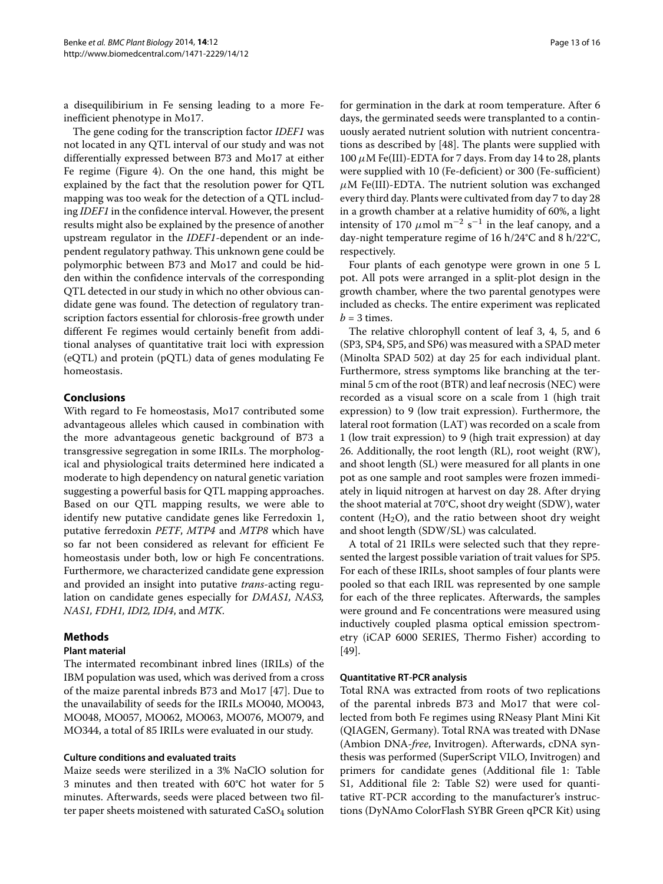a disequilibirium in Fe sensing leading to a more Feinefficient phenotype in Mo17.

The gene coding for the transcription factor *IDEF1* was not located in any QTL interval of our study and was not differentially expressed between B73 and Mo17 at either Fe regime (Figure [4\)](#page-10-0). On the one hand, this might be explained by the fact that the resolution power for QTL mapping was too weak for the detection of a QTL including *IDEF1* in the confidence interval. However, the present results might also be explained by the presence of another upstream regulator in the *IDEF1*-dependent or an independent regulatory pathway. This unknown gene could be polymorphic between B73 and Mo17 and could be hidden within the confidence intervals of the corresponding QTL detected in our study in which no other obvious candidate gene was found. The detection of regulatory transcription factors essential for chlorosis-free growth under different Fe regimes would certainly benefit from additional analyses of quantitative trait loci with expression (eQTL) and protein (pQTL) data of genes modulating Fe homeostasis.

## **Conclusions**

With regard to Fe homeostasis, Mo17 contributed some advantageous alleles which caused in combination with the more advantageous genetic background of B73 a transgressive segregation in some IRILs. The morphological and physiological traits determined here indicated a moderate to high dependency on natural genetic variation suggesting a powerful basis for QTL mapping approaches. Based on our QTL mapping results, we were able to identify new putative candidate genes like Ferredoxin 1, putative ferredoxin *PETF*, *MTP4* and *MTP8* which have so far not been considered as relevant for efficient Fe homeostasis under both, low or high Fe concentrations. Furthermore, we characterized candidate gene expression and provided an insight into putative *trans*-acting regulation on candidate genes especially for *DMAS1, NAS3, NAS1, FDH1, IDI2, IDI4*, and *MTK*.

### **Methods**

### **Plant material**

The intermated recombinant inbred lines (IRILs) of the IBM population was used, which was derived from a cross of the maize parental inbreds B73 and Mo17 [\[47\]](#page-14-42). Due to the unavailability of seeds for the IRILs MO040, MO043, MO048, MO057, MO062, MO063, MO076, MO079, and MO344, a total of 85 IRILs were evaluated in our study.

## **Culture conditions and evaluated traits**

Maize seeds were sterilized in a 3% NaClO solution for 3 minutes and then treated with 60°C hot water for 5 minutes. Afterwards, seeds were placed between two filter paper sheets moistened with saturated CaSO<sub>4</sub> solution for germination in the dark at room temperature. After 6 days, the germinated seeds were transplanted to a continuously aerated nutrient solution with nutrient concentrations as described by [\[48\]](#page-14-43). The plants were supplied with  $100 \mu$ M Fe(III)-EDTA for 7 days. From day 14 to 28, plants were supplied with 10 (Fe-deficient) or 300 (Fe-sufficient)  $\mu$ M Fe(III)-EDTA. The nutrient solution was exchanged every third day. Plants were cultivated from day 7 to day 28 in a growth chamber at a relative humidity of 60%, a light intensity of 170  $\mu$ mol m<sup>-2</sup> s<sup>-1</sup> in the leaf canopy, and a day-night temperature regime of 16 h/24°C and 8 h/22°C, respectively.

Four plants of each genotype were grown in one 5 L pot. All pots were arranged in a split-plot design in the growth chamber, where the two parental genotypes were included as checks. The entire experiment was replicated  $b = 3$  times.

The relative chlorophyll content of leaf 3, 4, 5, and 6 (SP3, SP4, SP5, and SP6) was measured with a SPAD meter (Minolta SPAD 502) at day 25 for each individual plant. Furthermore, stress symptoms like branching at the terminal 5 cm of the root (BTR) and leaf necrosis (NEC) were recorded as a visual score on a scale from 1 (high trait expression) to 9 (low trait expression). Furthermore, the lateral root formation (LAT) was recorded on a scale from 1 (low trait expression) to 9 (high trait expression) at day 26. Additionally, the root length (RL), root weight (RW), and shoot length (SL) were measured for all plants in one pot as one sample and root samples were frozen immediately in liquid nitrogen at harvest on day 28. After drying the shoot material at 70°C, shoot dry weight (SDW), water content  $(H<sub>2</sub>O)$ , and the ratio between shoot dry weight and shoot length (SDW/SL) was calculated.

A total of 21 IRILs were selected such that they represented the largest possible variation of trait values for SP5. For each of these IRILs, shoot samples of four plants were pooled so that each IRIL was represented by one sample for each of the three replicates. Afterwards, the samples were ground and Fe concentrations were measured using inductively coupled plasma optical emission spectrometry (iCAP 6000 SERIES, Thermo Fisher) according to [\[49\]](#page-15-0).

#### **Quantitative RT-PCR analysis**

Total RNA was extracted from roots of two replications of the parental inbreds B73 and Mo17 that were collected from both Fe regimes using RNeasy Plant Mini Kit (QIAGEN, Germany). Total RNA was treated with DNase (Ambion DNA-*free*, Invitrogen). Afterwards, cDNA synthesis was performed (SuperScript VILO, Invitrogen) and primers for candidate genes (Additional file [1:](#page-13-3) Table S1, Additional file [2:](#page-13-4) Table S2) were used for quantitative RT-PCR according to the manufacturer's instructions (DyNAmo ColorFlash SYBR Green qPCR Kit) using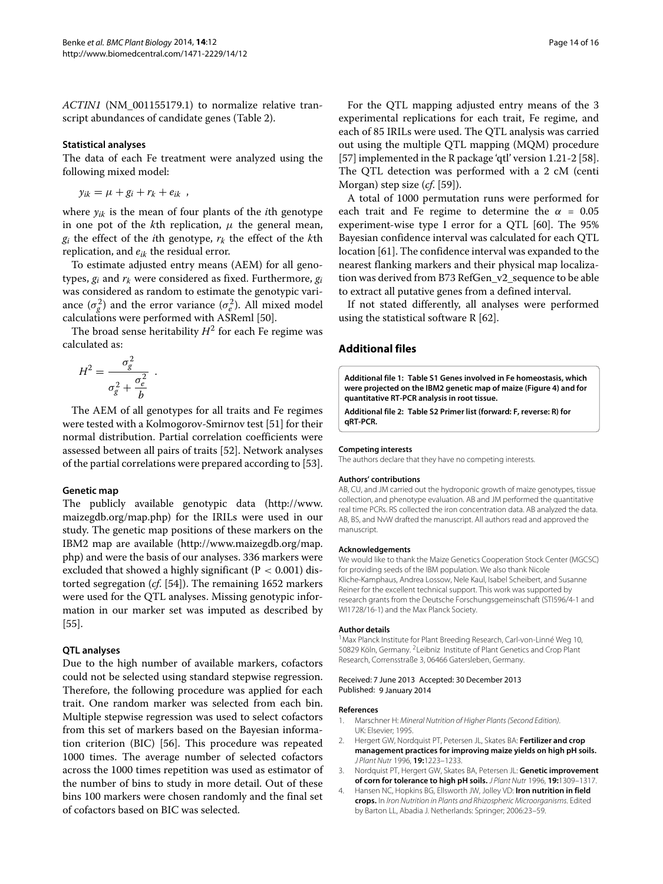*ACTIN1* (NM\_001155179.1) to normalize relative transcript abundances of candidate genes (Table [2\)](#page-5-0).

#### **Statistical analyses**

The data of each Fe treatment were analyzed using the following mixed model:

 $y_{ik} = \mu + g_i + r_k + e_{ik}$ ,

where  $y_{ik}$  is the mean of four plants of the *i*th genotype in one pot of the  $k$ th replication,  $\mu$  the general mean,  $g_i$  the effect of the *i*th genotype,  $r_k$  the effect of the *k*th replication, and *eik* the residual error.

To estimate adjusted entry means (AEM) for all genotypes, *gi* and *rk* were considered as fixed. Furthermore, *gi* was considered as random to estimate the genotypic variance  $(\sigma_g^2)$  and the error variance  $(\sigma_e^2)$ . All mixed model calculations were performed with ASReml [\[50\]](#page-15-1).

The broad sense heritability  $H^2$  for each Fe regime was calculated as:

$$
H^2 = \frac{\sigma_g^2}{\sigma_g^2 + \frac{\sigma_e^2}{b}}.
$$

The AEM of all genotypes for all traits and Fe regimes were tested with a Kolmogorov-Smirnov test [\[51\]](#page-15-2) for their normal distribution. Partial correlation coefficients were assessed between all pairs of traits [\[52\]](#page-15-3). Network analyses of the partial correlations were prepared according to [\[53\]](#page-15-4).

#### **Genetic map**

The publicly available genotypic data [\(http://www.](http://www.maizegdb.org/map.php) [maizegdb.org/map.php\)](http://www.maizegdb.org/map.php) for the IRILs were used in our study. The genetic map positions of these markers on the IBM2 map are available [\(http://www.maizegdb.org/map.](http://www.maizegdb.org/map.php) [php\)](http://www.maizegdb.org/map.php) and were the basis of our analyses. 336 markers were excluded that showed a highly significant (P *<* 0.001) distorted segregation (*cf*. [\[54\]](#page-15-5)). The remaining 1652 markers were used for the QTL analyses. Missing genotypic information in our marker set was imputed as described by [\[55\]](#page-15-6).

#### **QTL analyses**

Due to the high number of available markers, cofactors could not be selected using standard stepwise regression. Therefore, the following procedure was applied for each trait. One random marker was selected from each bin. Multiple stepwise regression was used to select cofactors from this set of markers based on the Bayesian information criterion (BIC) [\[56\]](#page-15-7). This procedure was repeated 1000 times. The average number of selected cofactors across the 1000 times repetition was used as estimator of the number of bins to study in more detail. Out of these bins 100 markers were chosen randomly and the final set of cofactors based on BIC was selected.

For the QTL mapping adjusted entry means of the 3 experimental replications for each trait, Fe regime, and each of 85 IRILs were used. The QTL analysis was carried out using the multiple QTL mapping (MQM) procedure [\[57\]](#page-15-8) implemented in the R package 'qtl' version 1.21-2 [\[58\]](#page-15-9). The QTL detection was performed with a 2 cM (centi Morgan) step size (*cf*. [\[59\]](#page-15-10)).

A total of 1000 permutation runs were performed for each trait and Fe regime to determine the  $\alpha = 0.05$ experiment-wise type I error for a QTL [\[60\]](#page-15-11). The 95% Bayesian confidence interval was calculated for each QTL location [\[61\]](#page-15-12). The confidence interval was expanded to the nearest flanking markers and their physical map localization was derived from B73 RefGen\_v2\_sequence to be able to extract all putative genes from a defined interval.

If not stated differently, all analyses were performed using the statistical software R [\[62\]](#page-15-13).

#### **Additional files**

<span id="page-13-3"></span>**[Additional file 1:](http://www.biomedcentral.com/content/supplementary/1471-2229-14-12-S1.csv) Table S1 Genes involved in Fe homeostasis, which were projected on the IBM2 genetic map of maize (Figure [4\)](#page-10-0) and for quantitative RT-PCR analysis in root tissue.**

<span id="page-13-4"></span>**[Additional file 2:](http://www.biomedcentral.com/content/supplementary/1471-2229-14-12-S2.csv) Table S2 Primer list (forward: F, reverse: R) for qRT-PCR.**

#### **Competing interests**

The authors declare that they have no competing interests.

#### **Authors' contributions**

AB, CU, and JM carried out the hydroponic growth of maize genotypes, tissue collection, and phenotype evaluation. AB and JM performed the quantitative real time PCRs. RS collected the iron concentration data. AB analyzed the data. AB, BS, and NvW drafted the manuscript. All authors read and approved the manuscript.

#### **Acknowledgements**

We would like to thank the Maize Genetics Cooperation Stock Center (MGCSC) for providing seeds of the IBM population. We also thank Nicole Kliche-Kamphaus, Andrea Lossow, Nele Kaul, Isabel Scheibert, and Susanne Reiner for the excellent technical support. This work was supported by research grants from the Deutsche Forschungsgemeinschaft (STI596/4-1 and WI1728/16-1) and the Max Planck Society.

#### **Author details**

<sup>1</sup> Max Planck Institute for Plant Breeding Research, Carl-von-Linné Weg 10, 50829 Köln, Germany. <sup>2</sup> Leibniz Institute of Plant Genetics and Crop Plant Research, Corrensstraße 3, 06466 Gatersleben, Germany.

#### Received: 7 June 2013 Accepted: 30 December 2013 Published: 9 January 2014

#### **References**

- <span id="page-13-0"></span>1. Marschner H: Mineral Nutrition of Higher Plants (Second Edition). UK: Elsevier; 1995.
- <span id="page-13-1"></span>2. Hergert GW, Nordquist PT, Petersen JL, Skates BA: **Fertilizer and crop management practices for improving maize yields on high pH soils.** J Plant Nutr 1996, **19:**1223–1233.
- <span id="page-13-2"></span>3. Nordquist PT, Hergert GW, Skates BA, Petersen JL: **Genetic improvement of corn for tolerance to high pH soils.** J Plant Nutr 1996, **19:**1309–1317.
- 4. Hansen NC, Hopkins BG, Ellsworth JW, Jolley VD: **Iron nutrition in field crops.** In Iron Nutrition in Plants and Rhizospheric Microorganisms. Edited by Barton LL, Abadia J. Netherlands: Springer; 2006:23–59.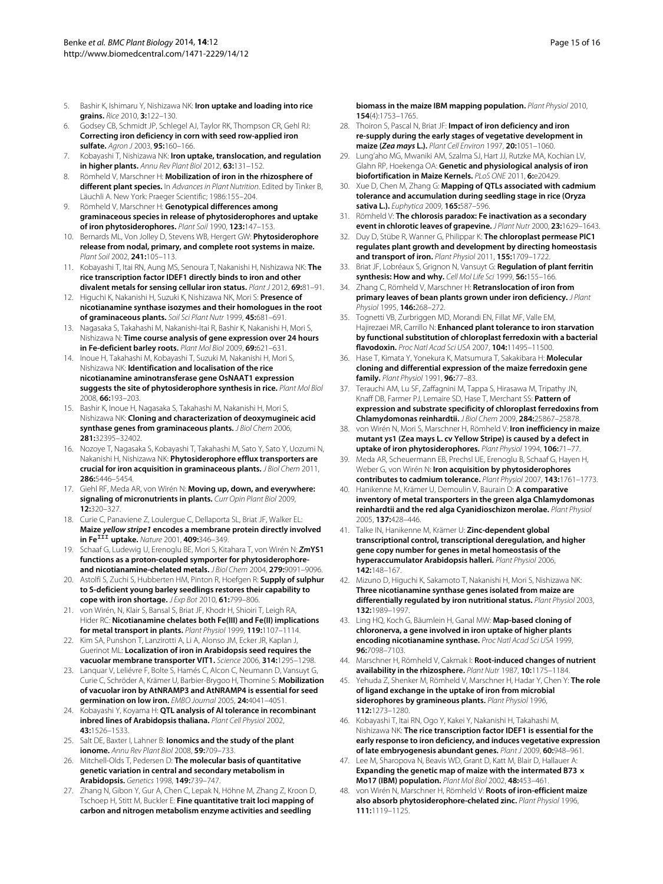- <span id="page-14-0"></span>5. Bashir K, Ishimaru Y, Nishizawa NK: **Iron uptake and loading into rice grains.** Rice 2010, **3:**122–130.
- <span id="page-14-1"></span>6. Godsey CB, Schmidt JP, Schlegel AJ, Taylor RK, Thompson CR, Gehl RJ: **Correcting iron deficiency in corn with seed row-applied iron sulfate.** Agron J 2003, **95:**160–166.
- <span id="page-14-2"></span>7. Kobayashi T, Nishizawa NK: **Iron uptake, translocation, and regulation in higher plants.** Annu Rev Plant Biol 2012, **63:**131–152.
- <span id="page-14-3"></span>8. Römheld V, Marschner H: **Mobilization of iron in the rhizosphere of different plant species.** In Advances in Plant Nutrition. Edited by Tinker B, Läuchli A. New York: Praeger Scientific; 1986:155–204.
- <span id="page-14-4"></span>9. Römheld V, Marschner H: **Genotypical differences among graminaceous species in release of phytosiderophores and uptake of iron phytosiderophores.** Plant Soil 1990, **123:**147–153.
- <span id="page-14-5"></span>10. Bernards ML, Von Jolley D, Stevens WB, Hergert GW: **Phytosiderophore release from nodal, primary, and complete root systems in maize.** Plant Soil 2002, **241:**105–113.
- <span id="page-14-6"></span>11. Kobayashi T, Itai RN, Aung MS, Senoura T, Nakanishi H, Nishizawa NK: **The rice transcription factor IDEF1 directly binds to iron and other divalent metals for sensing cellular iron status.** Plant J 2012, **69:**81–91.
- <span id="page-14-7"></span>12. Higuchi K, Nakanishi H, Suzuki K, Nishizawa NK, Mori S: **Presence of nicotianamine synthase isozymes and their homologues in the root of graminaceous plants.** Soil Sci Plant Nutr 1999, **45:**681–691.
- <span id="page-14-8"></span>13. Nagasaka S, Takahashi M, Nakanishi-Itai R, Bashir K, Nakanishi H, Mori S, Nishizawa N: **Time course analysis of gene expression over 24 hours in Fe-deficient barley roots.** Plant Mol Biol 2009, **69:**621–631.
- <span id="page-14-9"></span>14. Inoue H, Takahashi M, Kobayashi T, Suzuki M, Nakanishi H, Mori S, Nishizawa NK: **Identification and localisation of the rice nicotianamine aminotransferase gene OsNAAT1 expression suggests the site of phytosiderophore synthesis in rice.** Plant Mol Biol 2008, **66:**193–203.
- <span id="page-14-10"></span>15. Bashir K, Inoue H, Nagasaka S, Takahashi M, Nakanishi H, Mori S, Nishizawa NK: **Cloning and characterization of deoxymugineic acid synthase genes from graminaceous plants.** J Biol Chem 2006, **281:**32395–32402.
- <span id="page-14-11"></span>16. Nozoye T, Nagasaka S, Kobayashi T, Takahashi M, Sato Y, Sato Y, Uozumi N, Nakanishi H, Nishizawa NK: **Phytosiderophore efflux transporters are crucial for iron acquisition in graminaceous plants.** J Biol Chem 2011, **286:**5446–5454.
- <span id="page-14-12"></span>17. Giehl RF, Meda AR, von Wirén N: **Moving up, down, and everywhere: signaling of micronutrients in plants.** Curr Opin Plant Biol 2009, **12:**320–327.
- <span id="page-14-13"></span>18. Curie C, Panaviene Z, Loulergue C, Dellaporta SL, Briat JF, Walker EL: **Maize** *yellow stripe1* **encodes a membrane protein directly involved in FeIII uptake.** Nature 2001, **409:**346–349.
- <span id="page-14-14"></span>19. Schaaf G, Ludewig U, Erenoglu BE, Mori S, Kitahara T, von Wirén N: *Zm***YS1 functions as a proton-coupled symporter for phytosiderophoreand nicotianamine-chelated metals.** J Biol Chem 2004, **279:**9091–9096.
- <span id="page-14-15"></span>20. Astolfi S, Zuchi S, Hubberten HM, Pinton R, Hoefgen R: **Supply of sulphur to S-deficient young barley seedlings restores their capability to cope with iron shortage.** J Exp Bot 2010, **61:**799–806.
- <span id="page-14-16"></span>21. von Wirén, N, Klair S, Bansal S, Briat JF, Khodr H, Shioiri T, Leigh RA, Hider RC: **Nicotianamine chelates both Fe(III) and Fe(II) implications for metal transport in plants.** Plant Physiol 1999, **119:**1107–1114.
- <span id="page-14-17"></span>22. Kim SA, Punshon T, Lanzirotti A, Li A, Alonso JM, Ecker JR, Kaplan J, Guerinot ML: **Localization of iron in Arabidopsis seed requires the vacuolar membrane transporter VIT1.** Science 2006, **314:**1295–1298.
- <span id="page-14-18"></span>23. Lanquar V, Leliévre F, Bolte S, Hamés C, Alcon C, Neumann D, Vansuyt G, Curie C, Schröder A, Krämer U, Barbier-Brygoo H, Thomine S: **Mobilization of vacuolar iron by AtNRAMP3 and AtNRAMP4 is essential for seed germination on low iron.** EMBO Journal 2005, **24:**4041–4051.
- <span id="page-14-19"></span>24. Kobayashi Y, Koyama H: **QTL analysis of Al tolerance in recombinant inbred lines of Arabidopsis thaliana.** Plant Cell Physiol 2002, **43:**1526–1533.
- <span id="page-14-20"></span>25. Salt DE, Baxter I, Lahner B: **Ionomics and the study of the plant ionome.** Annu Rev Plant Biol 2008, **59:**709–733.
- <span id="page-14-21"></span>26. Mitchell-Olds T, Pedersen D: **The molecular basis of quantitative genetic variation in central and secondary metabolism in Arabidopsis.** Genetics 1998, **149:**739–747.
- <span id="page-14-22"></span>27. Zhang N, Gibon Y, Gur A, Chen C, Lepak N, Höhne M, Zhang Z, Kroon D, Tschoep H, Stitt M, Buckler E: **Fine quantitative trait loci mapping of carbon and nitrogen metabolism enzyme activities and seedling**

**biomass in the maize IBM mapping population.** Plant Physiol 2010, **154**(4):1753–1765.

- <span id="page-14-23"></span>28. Thoiron S, Pascal N, Briat JF: **Impact of iron deficiency and iron re-supply during the early stages of vegetative development in maize (***Zea mays* **L.).** Plant Cell Environ 1997, **20:**1051–1060.
- <span id="page-14-24"></span>29. Lung'aho MG, Mwaniki AM, Szalma SJ, Hart JJ, Rutzke MA, Kochian LV, Glahn RP, Hoekenga OA: **Genetic and physiological analysis of iron biofortification in Maize Kernels.** PLoS ONE 2011, **6:**e20429.
- <span id="page-14-25"></span>30. Xue D, Chen M, Zhang G: **Mapping of QTLs associated with cadmium tolerance and accumulation during seedling stage in rice (Oryza sativa L.).** Euphytica 2009, **165:**587–596.
- <span id="page-14-26"></span>31. Römheld V: **The chlorosis paradox: Fe inactivation as a secondary event in chlorotic leaves of grapevine.** J Plant Nutr 2000, **23:**1629–1643.
- <span id="page-14-27"></span>32. Duy D, Stübe R, Wanner G, Philippar K: **The chloroplast permease PIC1 regulates plant growth and development by directing homeostasis and transport of iron.** Plant Physiol 2011, **155:**1709–1722.
- <span id="page-14-28"></span>33. Briat JF, Lobréaux S, Grignon N, Vansuyt G: **Regulation of plant ferritin synthesis: How and why.** Cell Mol Life Sci 1999, **56:**155–166.
- <span id="page-14-29"></span>34. Zhang C, Römheld V, Marschner H: **Retranslocation of iron from primary leaves of bean plants grown under iron deficiency.** J Plant Physiol 1995, **146:**268–272.
- <span id="page-14-30"></span>35. Tognetti VB, Zurbriggen MD, Morandi EN, Fillat MF, Valle EM, Hajirezaei MR, Carrillo N: **Enhanced plant tolerance to iron starvation by functional substitution of chloroplast ferredoxin with a bacterial flavodoxin.** Proc Natl Acad Sci USA 2007, **104:**11495–11500.
- <span id="page-14-31"></span>36. Hase T, Kimata Y, Yonekura K, Matsumura T, Sakakibara H: **Molecular cloning and differential expression of the maize ferredoxin gene family.** Plant Physiol 1991, **96:**77–83.
- <span id="page-14-32"></span>37. Terauchi AM, Lu SF, Zaffagnini M, Tappa S, Hirasawa M, Tripathy JN, Knaff DB, Farmer PJ, Lemaire SD, Hase T, Merchant SS: **Pattern of expression and substrate specificity of chloroplast ferredoxins from Chlamydomonas reinhardtii.** J Biol Chem 2009, **284:**25867–25878.
- <span id="page-14-33"></span>38. von Wirén N, Mori S, Marschner H, Römheld V: **Iron inefficiency in maize mutant ys1 (Zea mays L. cv Yellow Stripe) is caused by a defect in uptake of iron phytosiderophores.** Plant Physiol 1994, **106:**71–77.
- <span id="page-14-34"></span>39. Meda AR, Scheuermann EB, Prechsl UE, Erenoglu B, Schaaf G, Hayen H, Weber G, von Wirén N: **Iron acquisition by phytosiderophores contributes to cadmium tolerance.** Plant Physiol 2007, **143:**1761–1773.
- <span id="page-14-35"></span>40. Hanikenne M, Krämer U, Demoulin V, Baurain D: **A comparative inventory of metal transporters in the green alga Chlamydomonas reinhardtii and the red alga Cyanidioschizon merolae.** Plant Physiol 2005, **137:**428–446.
- <span id="page-14-36"></span>41. Talke IN, Hanikenne M, Krämer U: **Zinc-dependent global transcriptional control, transcriptional deregulation, and higher gene copy number for genes in metal homeostasis of the hyperaccumulator Arabidopsis halleri.** Plant Physiol 2006, **142:**148–167.
- <span id="page-14-37"></span>42. Mizuno D, Higuchi K, Sakamoto T, Nakanishi H, Mori S, Nishizawa NK: **Three nicotianamine synthase genes isolated from maize are differentially regulated by iron nutritional status.** Plant Physiol 2003, **132:**1989–1997.
- <span id="page-14-38"></span>43. Ling HQ, Koch G, Bäumlein H, Ganal MW: **Map-based cloning of chloronerva, a gene involved in iron uptake of higher plants encoding nicotianamine synthase.** Proc Natl Acad Sci USA 1999, **96:**7098–7103.
- <span id="page-14-39"></span>44. Marschner H, Römheld V, Cakmak I: **Root-induced changes of nutrient availability in the rhizosphere.** Plant Nutr 1987, **10:**1175–1184.
- <span id="page-14-40"></span>45. Yehuda Z, Shenker M, Römheld V, Marschner H, Hadar Y, Chen Y: **The role of ligand exchange in the uptake of iron from microbial siderophores by gramineous plants.** Plant Physiol 1996, **112:**1273–1280.
- <span id="page-14-41"></span>46. Kobayashi T, Itai RN, Ogo Y, Kakei Y, Nakanishi H, Takahashi M, Nishizawa NK: **The rice transcription factor IDEF1 is essential for the early response to iron deficiency, and induces vegetative expression of late embryogenesis abundant genes.** Plant J 2009, **60:**948–961.
- <span id="page-14-42"></span>47. Lee M, Sharopova N, Beavis WD, Grant D, Katt M, Blair D, Hallauer A: **Expanding the genetic map of maize with the intermated B73 × Mo17 (IBM) population.** Plant Mol Biol 2002, **48:**453–461.
- <span id="page-14-43"></span>48. von Wirén N, Marschner H, Römheld V: **Roots of iron-efficient maize also absorb phytosiderophore-chelated zinc.** Plant Physiol 1996, **111:**1119–1125.